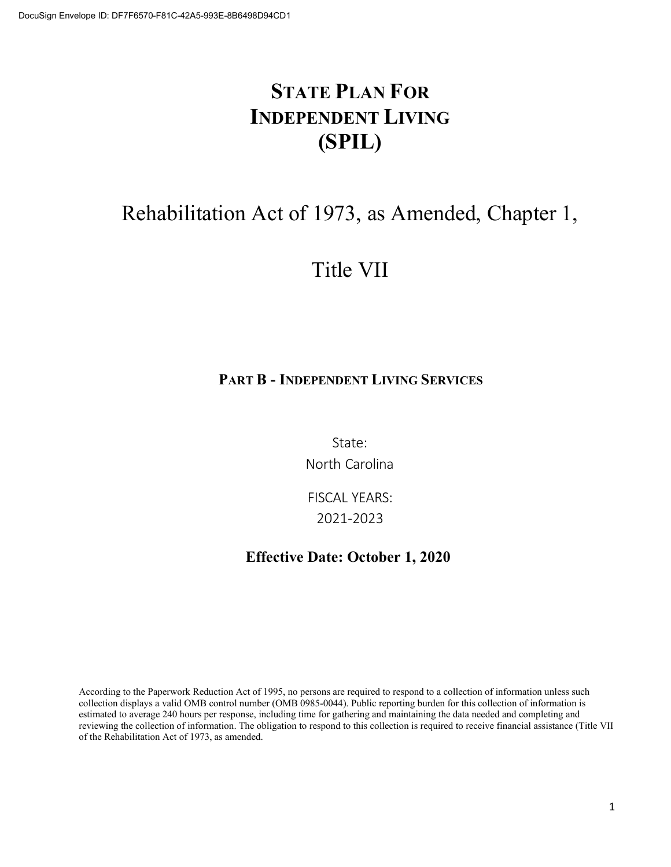# **STATE PLAN FOR INDEPENDENT LIVING (SPIL)**

# Rehabilitation Act of 1973, as Amended, Chapter 1,

# Title VII

## **PART B - INDEPENDENT LIVING SERVICES**

State: North Carolina

FISCAL YEARS: 2021-2023

## **Effective Date: October 1, 2020**

According to the Paperwork Reduction Act of 1995, no persons are required to respond to a collection of information unless such collection displays a valid OMB control number (OMB 0985-0044). Public reporting burden for this collection of information is estimated to average 240 hours per response, including time for gathering and maintaining the data needed and completing and reviewing the collection of information. The obligation to respond to this collection is required to receive financial assistance (Title VII of the Rehabilitation Act of 1973, as amended.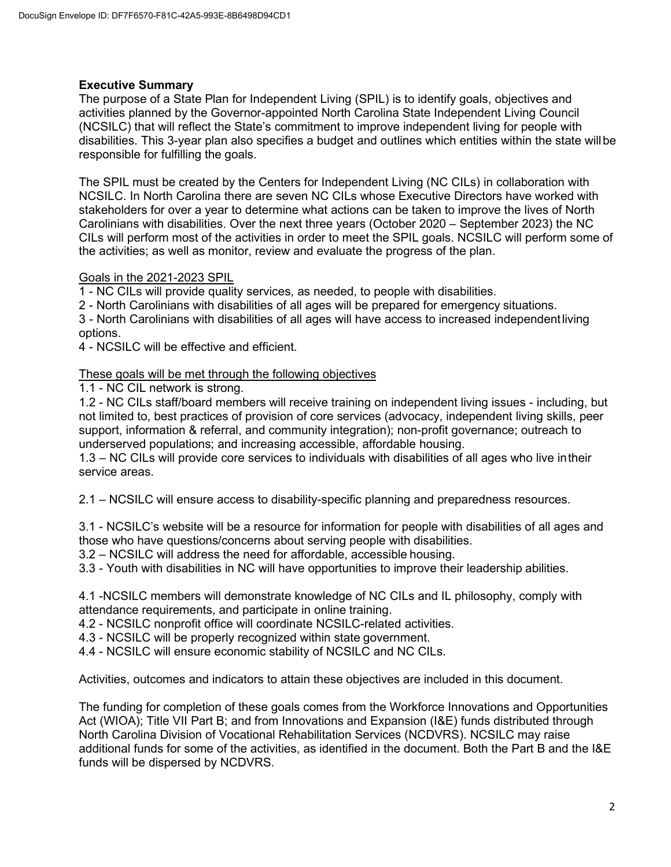## **Executive Summary**

The purpose of a State Plan for Independent Living (SPIL) is to identify goals, objectives and activities planned by the Governor-appointed North Carolina State Independent Living Council (NCSILC) that will reflect the State's commitment to improve independent living for people with disabilities. This 3-year plan also specifies a budget and outlines which entities within the state willbe responsible for fulfilling the goals.

The SPIL must be created by the Centers for Independent Living (NC CILs) in collaboration with NCSILC. In North Carolina there are seven NC CILs whose Executive Directors have worked with stakeholders for over a year to determine what actions can be taken to improve the lives of North Carolinians with disabilities. Over the next three years (October 2020 – September 2023) the NC CILs will perform most of the activities in order to meet the SPIL goals. NCSILC will perform some of the activities; as well as monitor, review and evaluate the progress of the plan.

## Goals in the 2021-2023 SPIL

1 - NC CILs will provide quality services, as needed, to people with disabilities.

2 - North Carolinians with disabilities of all ages will be prepared for emergency situations.

3 - North Carolinians with disabilities of all ages will have access to increased independentliving options.

4 - NCSILC will be effective and efficient.

## These goals will be met through the following objectives

1.1 - NC CIL network is strong.

1.2 - NC CILs staff/board members will receive training on independent living issues - including, but not limited to, best practices of provision of core services (advocacy, independent living skills, peer support, information & referral, and community integration); non-profit governance; outreach to underserved populations; and increasing accessible, affordable housing.

1.3 – NC CILs will provide core services to individuals with disabilities of all ages who live intheir service areas.

2.1 – NCSILC will ensure access to disability-specific planning and preparedness resources.

3.1 - NCSILC's website will be a resource for information for people with disabilities of all ages and those who have questions/concerns about serving people with disabilities.

3.2 – NCSILC will address the need for affordable, accessible housing.

3.3 - Youth with disabilities in NC will have opportunities to improve their leadership abilities.

4.1 -NCSILC members will demonstrate knowledge of NC CILs and IL philosophy, comply with attendance requirements, and participate in online training.

4.2 - NCSILC nonprofit office will coordinate NCSILC-related activities.

4.3 - NCSILC will be properly recognized within state government.

4.4 - NCSILC will ensure economic stability of NCSILC and NC CILs.

Activities, outcomes and indicators to attain these objectives are included in this document.

The funding for completion of these goals comes from the Workforce Innovations and Opportunities Act (WIOA); Title VII Part B; and from Innovations and Expansion (I&E) funds distributed through North Carolina Division of Vocational Rehabilitation Services (NCDVRS). NCSILC may raise additional funds for some of the activities, as identified in the document. Both the Part B and the I&E funds will be dispersed by NCDVRS.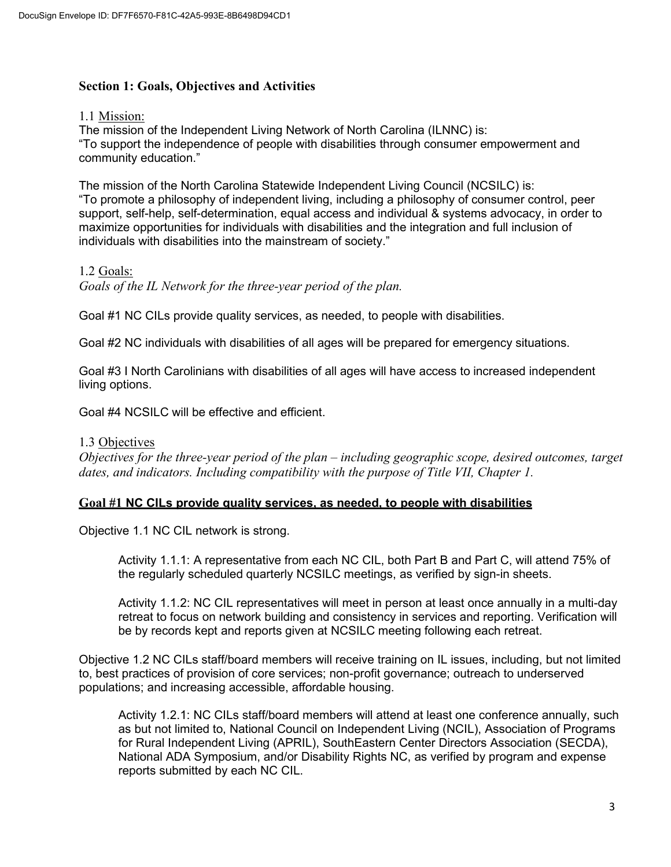## **Section 1: Goals, Objectives and Activities**

#### 1.1 Mission:

The mission of the Independent Living Network of North Carolina (ILNNC) is: "To support the independence of people with disabilities through consumer empowerment and community education."

The mission of the North Carolina Statewide Independent Living Council (NCSILC) is: "To promote a philosophy of independent living, including a philosophy of consumer control, peer support, self-help, self-determination, equal access and individual & systems advocacy, in order to maximize opportunities for individuals with disabilities and the integration and full inclusion of individuals with disabilities into the mainstream of society."

## 1.2 Goals:

*Goals of the IL Network for the three-year period of the plan.*

Goal #1 NC CILs provide quality services, as needed, to people with disabilities.

Goal #2 NC individuals with disabilities of all ages will be prepared for emergency situations.

Goal #3 I North Carolinians with disabilities of all ages will have access to increased independent living options.

Goal #4 NCSILC will be effective and efficient.

## 1.3 Objectives

*Objectives for the three-year period of the plan – including geographic scope, desired outcomes, target dates, and indicators. Including compatibility with the purpose of Title VII, Chapter 1.*

## **Goal #1 NC CILs provide quality services, as needed, to people with disabilities**

Objective 1.1 NC CIL network is strong.

Activity 1.1.1: A representative from each NC CIL, both Part B and Part C, will attend 75% of the regularly scheduled quarterly NCSILC meetings, as verified by sign-in sheets.

Activity 1.1.2: NC CIL representatives will meet in person at least once annually in a multi-day retreat to focus on network building and consistency in services and reporting. Verification will be by records kept and reports given at NCSILC meeting following each retreat.

Objective 1.2 NC CILs staff/board members will receive training on IL issues, including, but not limited to, best practices of provision of core services; non-profit governance; outreach to underserved populations; and increasing accessible, affordable housing.

Activity 1.2.1: NC CILs staff/board members will attend at least one conference annually, such as but not limited to, National Council on Independent Living (NCIL), Association of Programs for Rural Independent Living (APRIL), SouthEastern Center Directors Association (SECDA), National ADA Symposium, and/or Disability Rights NC, as verified by program and expense reports submitted by each NC CIL.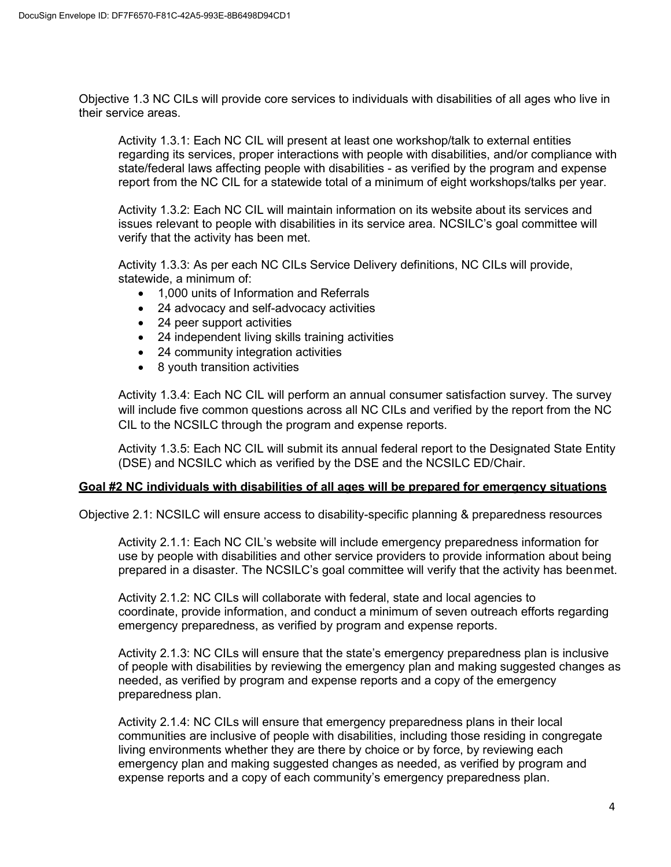Objective 1.3 NC CILs will provide core services to individuals with disabilities of all ages who live in their service areas.

Activity 1.3.1: Each NC CIL will present at least one workshop/talk to external entities regarding its services, proper interactions with people with disabilities, and/or compliance with state/federal laws affecting people with disabilities - as verified by the program and expense report from the NC CIL for a statewide total of a minimum of eight workshops/talks per year.

Activity 1.3.2: Each NC CIL will maintain information on its website about its services and issues relevant to people with disabilities in its service area. NCSILC's goal committee will verify that the activity has been met.

Activity 1.3.3: As per each NC CILs Service Delivery definitions, NC CILs will provide, statewide, a minimum of:

- 1,000 units of Information and Referrals
- 24 advocacy and self-advocacy activities
- 24 peer support activities
- 24 independent living skills training activities
- 24 community integration activities
- 8 youth transition activities

Activity 1.3.4: Each NC CIL will perform an annual consumer satisfaction survey. The survey will include five common questions across all NC CILs and verified by the report from the NC CIL to the NCSILC through the program and expense reports.

Activity 1.3.5: Each NC CIL will submit its annual federal report to the Designated State Entity (DSE) and NCSILC which as verified by the DSE and the NCSILC ED/Chair.

## **Goal #2 NC individuals with disabilities of all ages will be prepared for emergency situations**

Objective 2.1: NCSILC will ensure access to disability-specific planning & preparedness resources

Activity 2.1.1: Each NC CIL's website will include emergency preparedness information for use by people with disabilities and other service providers to provide information about being prepared in a disaster. The NCSILC's goal committee will verify that the activity has beenmet.

Activity 2.1.2: NC CILs will collaborate with federal, state and local agencies to coordinate, provide information, and conduct a minimum of seven outreach efforts regarding emergency preparedness, as verified by program and expense reports.

Activity 2.1.3: NC CILs will ensure that the state's emergency preparedness plan is inclusive of people with disabilities by reviewing the emergency plan and making suggested changes as needed, as verified by program and expense reports and a copy of the emergency preparedness plan.

Activity 2.1.4: NC CILs will ensure that emergency preparedness plans in their local communities are inclusive of people with disabilities, including those residing in congregate living environments whether they are there by choice or by force, by reviewing each emergency plan and making suggested changes as needed, as verified by program and expense reports and a copy of each community's emergency preparedness plan.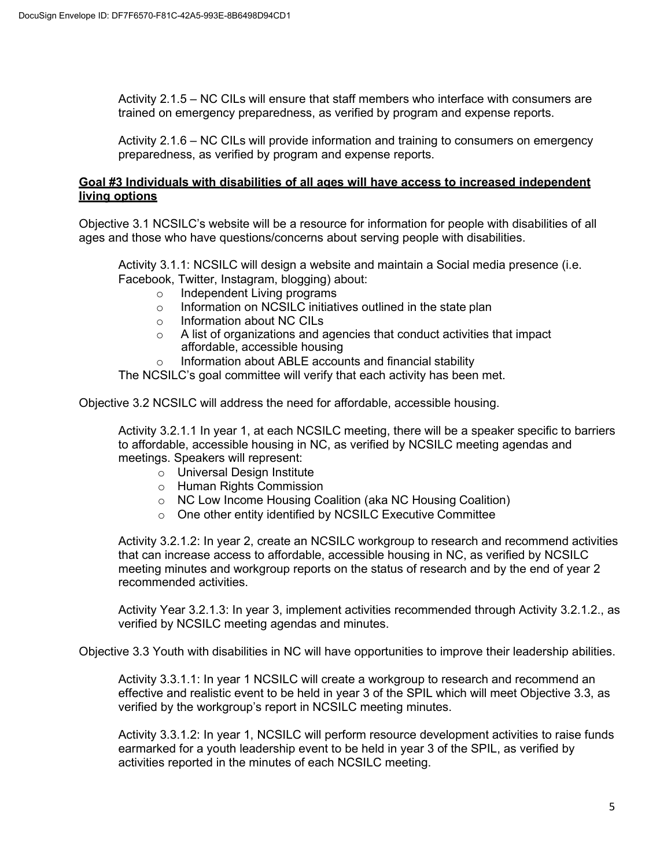Activity 2.1.5 – NC CILs will ensure that staff members who interface with consumers are trained on emergency preparedness, as verified by program and expense reports.

Activity 2.1.6 – NC CILs will provide information and training to consumers on emergency preparedness, as verified by program and expense reports.

## **Goal #3 Individuals with disabilities of all ages will have access to increased independent living options**

Objective 3.1 NCSILC's website will be a resource for information for people with disabilities of all ages and those who have questions/concerns about serving people with disabilities.

Activity 3.1.1: NCSILC will design a website and maintain a Social media presence (i.e. Facebook, Twitter, Instagram, blogging) about:

- Independent Living programs<br>○ Information on NCSILC initiati
- Information on NCSILC initiatives outlined in the state plan
- o Information about NC CILs
- o A list of organizations and agencies that conduct activities that impact affordable, accessible housing
- o Information about ABLE accounts and financial stability

The NCSILC's goal committee will verify that each activity has been met.

Objective 3.2 NCSILC will address the need for affordable, accessible housing.

Activity 3.2.1.1 In year 1, at each NCSILC meeting, there will be a speaker specific to barriers to affordable, accessible housing in NC, as verified by NCSILC meeting agendas and meetings. Speakers will represent:

- o Universal Design Institute
- o Human Rights Commission
- o NC Low Income Housing Coalition (aka NC Housing Coalition)
- o One other entity identified by NCSILC Executive Committee

Activity 3.2.1.2: In year 2, create an NCSILC workgroup to research and recommend activities that can increase access to affordable, accessible housing in NC, as verified by NCSILC meeting minutes and workgroup reports on the status of research and by the end of year 2 recommended activities.

Activity Year 3.2.1.3: In year 3, implement activities recommended through Activity 3.2.1.2., as verified by NCSILC meeting agendas and minutes.

Objective 3.3 Youth with disabilities in NC will have opportunities to improve their leadership abilities.

Activity 3.3.1.1: In year 1 NCSILC will create a workgroup to research and recommend an effective and realistic event to be held in year 3 of the SPIL which will meet Objective 3.3, as verified by the workgroup's report in NCSILC meeting minutes.

Activity 3.3.1.2: In year 1, NCSILC will perform resource development activities to raise funds earmarked for a youth leadership event to be held in year 3 of the SPIL, as verified by activities reported in the minutes of each NCSILC meeting.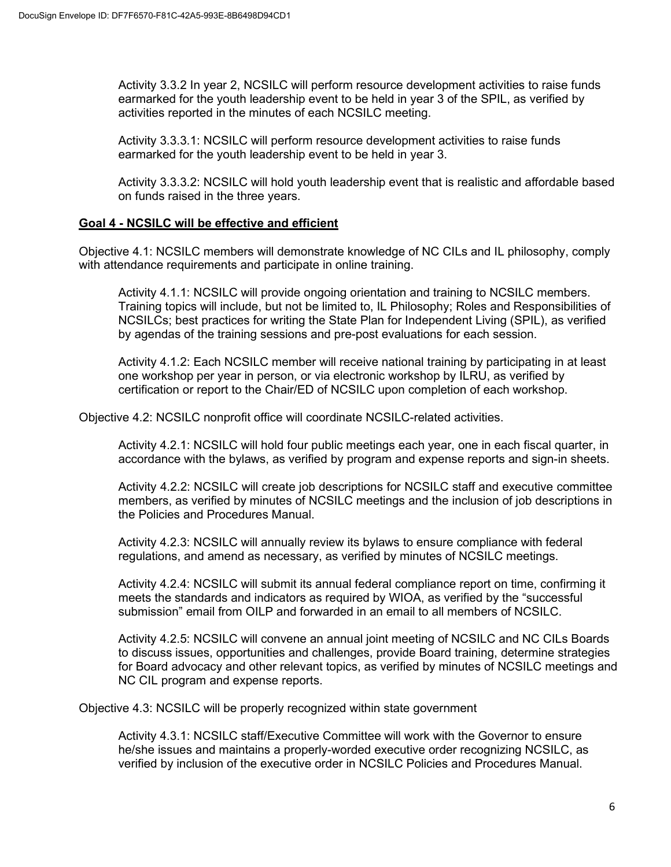Activity 3.3.2 In year 2, NCSILC will perform resource development activities to raise funds earmarked for the youth leadership event to be held in year 3 of the SPIL, as verified by activities reported in the minutes of each NCSILC meeting.

Activity 3.3.3.1: NCSILC will perform resource development activities to raise funds earmarked for the youth leadership event to be held in year 3.

Activity 3.3.3.2: NCSILC will hold youth leadership event that is realistic and affordable based on funds raised in the three years.

## **Goal 4 - NCSILC will be effective and efficient**

Objective 4.1: NCSILC members will demonstrate knowledge of NC CILs and IL philosophy, comply with attendance requirements and participate in online training.

Activity 4.1.1: NCSILC will provide ongoing orientation and training to NCSILC members. Training topics will include, but not be limited to, IL Philosophy; Roles and Responsibilities of NCSILCs; best practices for writing the State Plan for Independent Living (SPIL), as verified by agendas of the training sessions and pre-post evaluations for each session.

Activity 4.1.2: Each NCSILC member will receive national training by participating in at least one workshop per year in person, or via electronic workshop by ILRU, as verified by certification or report to the Chair/ED of NCSILC upon completion of each workshop.

Objective 4.2: NCSILC nonprofit office will coordinate NCSILC-related activities.

Activity 4.2.1: NCSILC will hold four public meetings each year, one in each fiscal quarter, in accordance with the bylaws, as verified by program and expense reports and sign-in sheets.

Activity 4.2.2: NCSILC will create job descriptions for NCSILC staff and executive committee members, as verified by minutes of NCSILC meetings and the inclusion of job descriptions in the Policies and Procedures Manual.

Activity 4.2.3: NCSILC will annually review its bylaws to ensure compliance with federal regulations, and amend as necessary, as verified by minutes of NCSILC meetings.

Activity 4.2.4: NCSILC will submit its annual federal compliance report on time, confirming it meets the standards and indicators as required by WIOA, as verified by the "successful submission" email from OILP and forwarded in an email to all members of NCSILC.

Activity 4.2.5: NCSILC will convene an annual joint meeting of NCSILC and NC CILs Boards to discuss issues, opportunities and challenges, provide Board training, determine strategies for Board advocacy and other relevant topics, as verified by minutes of NCSILC meetings and NC CIL program and expense reports.

Objective 4.3: NCSILC will be properly recognized within state government

Activity 4.3.1: NCSILC staff/Executive Committee will work with the Governor to ensure he/she issues and maintains a properly-worded executive order recognizing NCSILC, as verified by inclusion of the executive order in NCSILC Policies and Procedures Manual.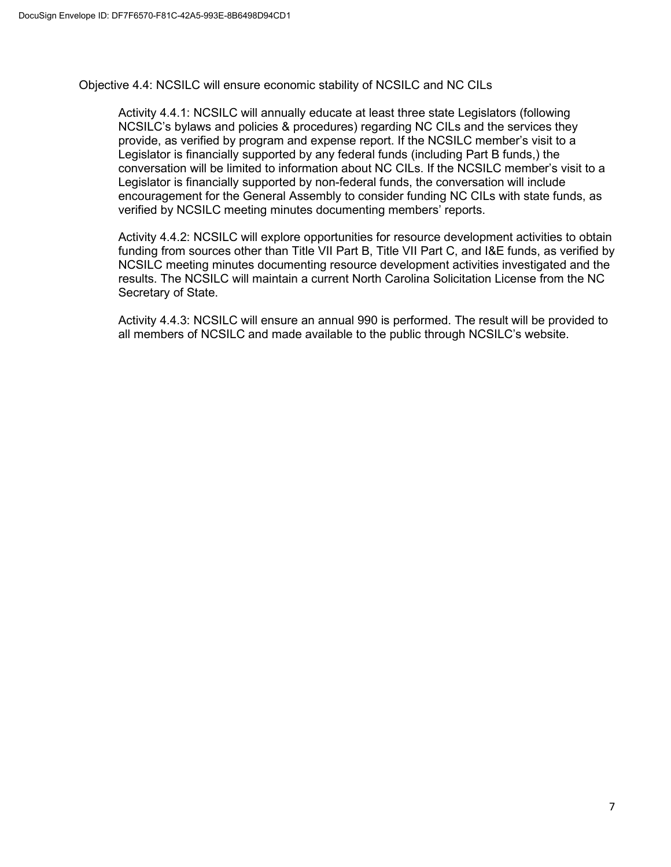Objective 4.4: NCSILC will ensure economic stability of NCSILC and NC CILs

Activity 4.4.1: NCSILC will annually educate at least three state Legislators (following NCSILC's bylaws and policies & procedures) regarding NC CILs and the services they provide, as verified by program and expense report. If the NCSILC member's visit to a Legislator is financially supported by any federal funds (including Part B funds,) the conversation will be limited to information about NC CILs. If the NCSILC member's visit to a Legislator is financially supported by non-federal funds, the conversation will include encouragement for the General Assembly to consider funding NC CILs with state funds, as verified by NCSILC meeting minutes documenting members' reports.

Activity 4.4.2: NCSILC will explore opportunities for resource development activities to obtain funding from sources other than Title VII Part B, Title VII Part C, and I&E funds, as verified by NCSILC meeting minutes documenting resource development activities investigated and the results. The NCSILC will maintain a current North Carolina Solicitation License from the NC Secretary of State.

Activity 4.4.3: NCSILC will ensure an annual 990 is performed. The result will be provided to all members of NCSILC and made available to the public through NCSILC's website.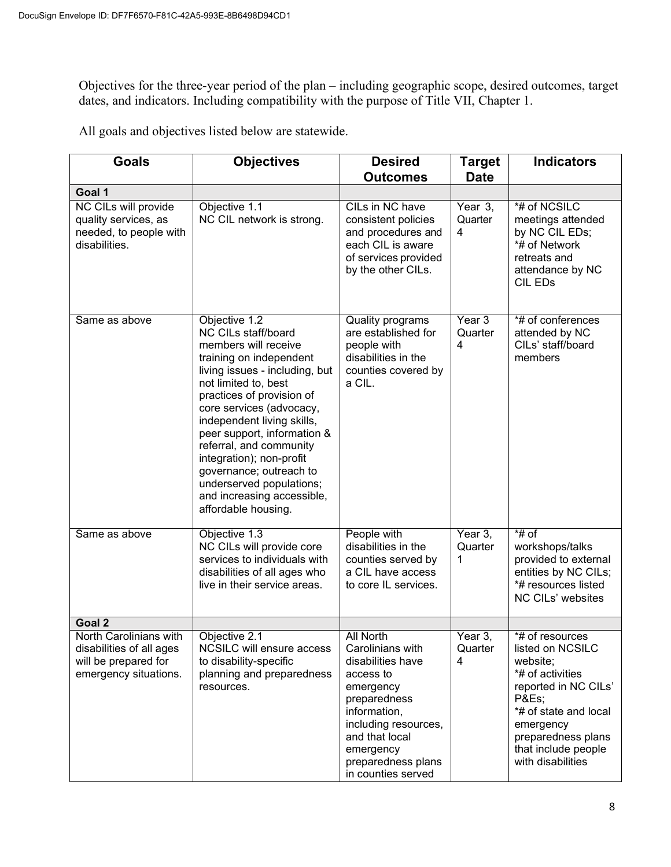Objectives for the three-year period of the plan – including geographic scope, desired outcomes, target dates, and indicators. Including compatibility with the purpose of Title VII, Chapter 1.

All goals and objectives listed below are statewide.

| <b>Goals</b>                                                                            | <b>Objectives</b>                                                                                                                                                                                                                                                                                                                                                                                                                          | <b>Desired</b><br><b>Outcomes</b>                                                                                                                                                                  | <b>Target</b><br><b>Date</b> | <b>Indicators</b>                                                                                                                                                                        |  |  |
|-----------------------------------------------------------------------------------------|--------------------------------------------------------------------------------------------------------------------------------------------------------------------------------------------------------------------------------------------------------------------------------------------------------------------------------------------------------------------------------------------------------------------------------------------|----------------------------------------------------------------------------------------------------------------------------------------------------------------------------------------------------|------------------------------|------------------------------------------------------------------------------------------------------------------------------------------------------------------------------------------|--|--|
| Goal 1                                                                                  |                                                                                                                                                                                                                                                                                                                                                                                                                                            |                                                                                                                                                                                                    |                              |                                                                                                                                                                                          |  |  |
| NC CILs will provide<br>quality services, as<br>needed, to people with<br>disabilities. | Objective 1.1<br>NC CIL network is strong.                                                                                                                                                                                                                                                                                                                                                                                                 | CILs in NC have<br>consistent policies<br>and procedures and<br>each CIL is aware<br>of services provided<br>by the other CILs.                                                                    | Year 3,<br>Quarter<br>4      | *# of NCSILC<br>meetings attended<br>by NC CIL EDs;<br>*# of Network<br>retreats and<br>attendance by NC<br><b>CIL EDs</b>                                                               |  |  |
| Same as above                                                                           | Objective 1.2<br>NC CILs staff/board<br>members will receive<br>training on independent<br>living issues - including, but<br>not limited to, best<br>practices of provision of<br>core services (advocacy,<br>independent living skills,<br>peer support, information &<br>referral, and community<br>integration); non-profit<br>governance; outreach to<br>underserved populations;<br>and increasing accessible,<br>affordable housing. | <b>Quality programs</b><br>are established for<br>people with<br>disabilities in the<br>counties covered by<br>a CIL.                                                                              | Year $3$<br>Quarter<br>4     | *# of conferences<br>attended by NC<br>CILs' staff/board<br>members                                                                                                                      |  |  |
| Same as above                                                                           | Objective 1.3<br>NC CILs will provide core<br>services to individuals with<br>disabilities of all ages who<br>live in their service areas.                                                                                                                                                                                                                                                                                                 | People with<br>disabilities in the<br>counties served by<br>a CIL have access<br>to core IL services.                                                                                              | Year 3,<br>Quarter<br>1      | $*$ # of<br>workshops/talks<br>provided to external<br>entities by NC CILs;<br>*# resources listed<br>NC CILs' websites                                                                  |  |  |
| Goal 2<br>North Carolinians with                                                        | Objective 2.1                                                                                                                                                                                                                                                                                                                                                                                                                              | <b>All North</b>                                                                                                                                                                                   | Year 3,                      | *# of resources                                                                                                                                                                          |  |  |
| disabilities of all ages<br>will be prepared for<br>emergency situations.               | NCSILC will ensure access<br>to disability-specific<br>planning and preparedness<br>resources.                                                                                                                                                                                                                                                                                                                                             | Carolinians with<br>disabilities have<br>access to<br>emergency<br>preparedness<br>information,<br>including resources,<br>and that local<br>emergency<br>preparedness plans<br>in counties served | Quarter<br>4                 | listed on NCSILC<br>website;<br>*# of activities<br>reported in NC CILs'<br>P&Es<br>*# of state and local<br>emergency<br>preparedness plans<br>that include people<br>with disabilities |  |  |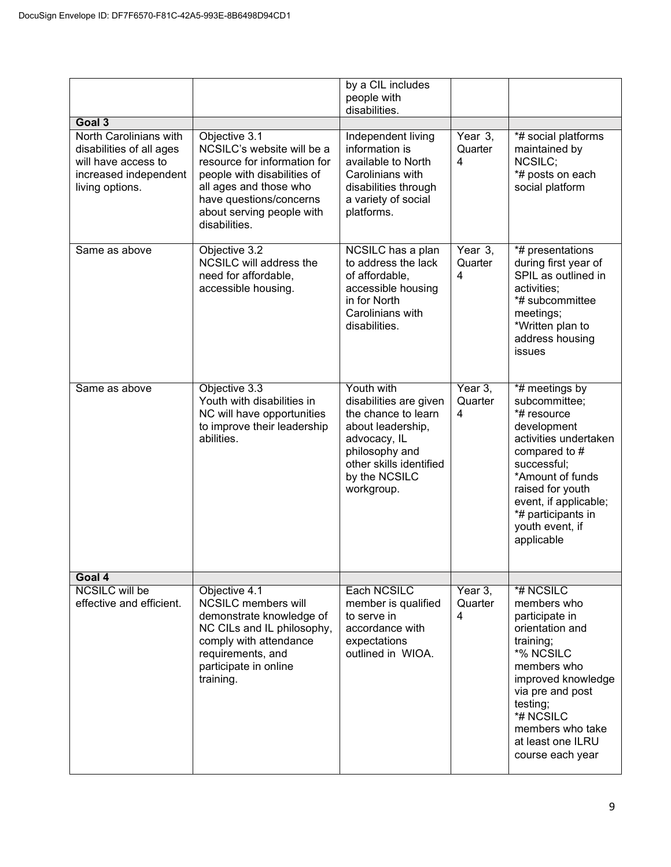|                                                                                                                       |                                                                                                                                                                                                               | by a CIL includes                                                                                                                                                            |                         |                                                                                                                                                                                                                                                |
|-----------------------------------------------------------------------------------------------------------------------|---------------------------------------------------------------------------------------------------------------------------------------------------------------------------------------------------------------|------------------------------------------------------------------------------------------------------------------------------------------------------------------------------|-------------------------|------------------------------------------------------------------------------------------------------------------------------------------------------------------------------------------------------------------------------------------------|
|                                                                                                                       |                                                                                                                                                                                                               | people with                                                                                                                                                                  |                         |                                                                                                                                                                                                                                                |
| Goal 3                                                                                                                |                                                                                                                                                                                                               | disabilities.                                                                                                                                                                |                         |                                                                                                                                                                                                                                                |
| North Carolinians with<br>disabilities of all ages<br>will have access to<br>increased independent<br>living options. | Objective 3.1<br>NCSILC's website will be a<br>resource for information for<br>people with disabilities of<br>all ages and those who<br>have questions/concerns<br>about serving people with<br>disabilities. | Independent living<br>information is<br>available to North<br>Carolinians with<br>disabilities through<br>a variety of social<br>platforms.                                  | Year 3,<br>Quarter<br>4 | *# social platforms<br>maintained by<br>NCSILC;<br>*# posts on each<br>social platform                                                                                                                                                         |
| Same as above                                                                                                         | Objective 3.2<br>NCSILC will address the<br>need for affordable,<br>accessible housing.                                                                                                                       | NCSILC has a plan<br>to address the lack<br>of affordable,<br>accessible housing<br>in for North<br>Carolinians with<br>disabilities.                                        | Year 3.<br>Quarter<br>4 | *# presentations<br>during first year of<br>SPIL as outlined in<br>activities:<br>*# subcommittee<br>meetings;<br>*Written plan to<br>address housing<br>issues                                                                                |
| Same as above                                                                                                         | Objective 3.3<br>Youth with disabilities in<br>NC will have opportunities<br>to improve their leadership<br>abilities.                                                                                        | Youth with<br>disabilities are given<br>the chance to learn<br>about leadership,<br>advocacy, IL<br>philosophy and<br>other skills identified<br>by the NCSILC<br>workgroup. | Year 3,<br>Quarter<br>4 | *# meetings by<br>subcommittee:<br>*# resource<br>development<br>activities undertaken<br>compared to #<br>successful;<br>*Amount of funds<br>raised for youth<br>event, if applicable;<br>*# participants in<br>youth event, if<br>applicable |
| Goal 4                                                                                                                |                                                                                                                                                                                                               |                                                                                                                                                                              |                         |                                                                                                                                                                                                                                                |
| <b>NCSILC will be</b><br>effective and efficient.                                                                     | Objective 4.1<br><b>NCSILC</b> members will<br>demonstrate knowledge of<br>NC CILs and IL philosophy,<br>comply with attendance<br>requirements, and<br>participate in online<br>training.                    | Each NCSILC<br>member is qualified<br>to serve in<br>accordance with<br>expectations<br>outlined in WIOA.                                                                    | Year 3,<br>Quarter<br>4 | *# NCSILC<br>members who<br>participate in<br>orientation and<br>training;<br>*% NCSILC<br>members who<br>improved knowledge<br>via pre and post<br>testing;<br>*# NCSILC<br>members who take<br>at least one ILRU<br>course each year         |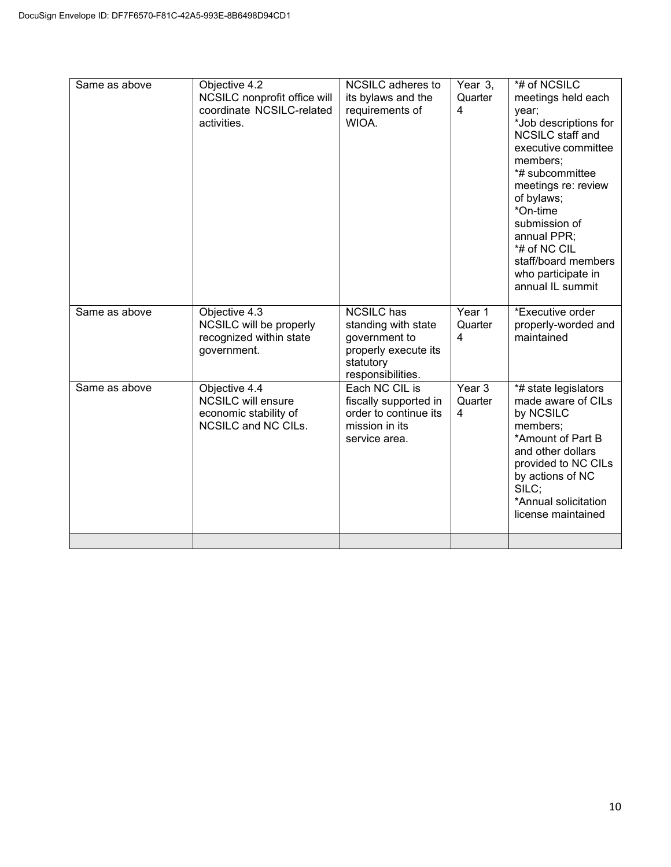| Same as above | Objective 4.2<br>NCSILC nonprofit office will<br>coordinate NCSILC-related<br>activities.  | NCSILC adheres to<br>its bylaws and the<br>requirements of<br>WIOA.                                                 | Year 3,<br>Quarter<br>$\overline{4}$ | *# of NCSILC<br>meetings held each<br>year;<br>*Job descriptions for<br><b>NCSILC</b> staff and<br>executive committee<br>members;<br>*# subcommittee<br>meetings re: review<br>of bylaws;<br>*On-time<br>submission of<br>annual PPR;<br>*# of NC CIL<br>staff/board members<br>who participate in<br>annual IL summit |
|---------------|--------------------------------------------------------------------------------------------|---------------------------------------------------------------------------------------------------------------------|--------------------------------------|-------------------------------------------------------------------------------------------------------------------------------------------------------------------------------------------------------------------------------------------------------------------------------------------------------------------------|
| Same as above | Objective 4.3<br>NCSILC will be properly<br>recognized within state<br>government.         | <b>NCSILC</b> has<br>standing with state<br>government to<br>properly execute its<br>statutory<br>responsibilities. | Year 1<br>Quarter<br>4               | *Executive order<br>properly-worded and<br>maintained                                                                                                                                                                                                                                                                   |
| Same as above | Objective 4.4<br><b>NCSILC will ensure</b><br>economic stability of<br>NCSILC and NC CILs. | Each NC CIL is<br>fiscally supported in<br>order to continue its<br>mission in its<br>service area.                 | Year 3<br>Quarter<br>$\overline{4}$  | *# state legislators<br>made aware of CILs<br>by NCSILC<br>members;<br>*Amount of Part B<br>and other dollars<br>provided to NC CILs<br>by actions of NC<br>SILC;<br>*Annual solicitation<br>license maintained                                                                                                         |
|               |                                                                                            |                                                                                                                     |                                      |                                                                                                                                                                                                                                                                                                                         |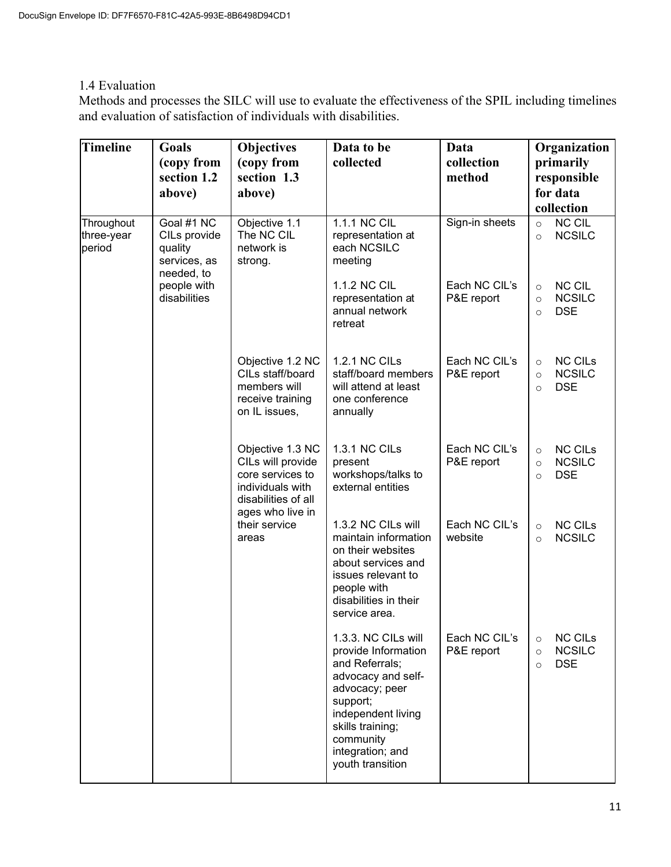## 1.4 Evaluation

Methods and processes the SILC will use to evaluate the effectiveness of the SPIL including timelines and evaluation of satisfaction of individuals with disabilities.

| <b>Timeline</b>                    | Goals<br>(copy from<br>section 1.2                                  | <b>Objectives</b><br>(copy from<br>section 1.3                                            | Data to be<br>collected                                                                                                                                                                                         | Data<br>collection<br>method                                        | Organization<br>primarily<br>responsible                                       |                                                                                |
|------------------------------------|---------------------------------------------------------------------|-------------------------------------------------------------------------------------------|-----------------------------------------------------------------------------------------------------------------------------------------------------------------------------------------------------------------|---------------------------------------------------------------------|--------------------------------------------------------------------------------|--------------------------------------------------------------------------------|
|                                    | above)                                                              | above)                                                                                    |                                                                                                                                                                                                                 |                                                                     | for data<br>collection                                                         |                                                                                |
| Throughout<br>three-year<br>period | Goal #1 NC<br>CILs provide<br>quality<br>services, as<br>needed, to | Objective 1.1<br>The NC CIL<br>network is<br>strong.                                      | 1.1.1 NC CIL<br>representation at<br>each NCSILC<br>meeting                                                                                                                                                     | Sign-in sheets                                                      | <b>NC CIL</b><br>$\circ$<br><b>NCSILC</b><br>$\circ$                           |                                                                                |
|                                    | people with<br>disabilities                                         |                                                                                           | 1.1.2 NC CIL<br>representation at<br>annual network<br>retreat                                                                                                                                                  | Each NC CIL's<br>P&E report                                         | <b>NC CIL</b><br>$\circ$<br><b>NCSILC</b><br>$\circ$<br><b>DSE</b><br>$\circ$  |                                                                                |
|                                    |                                                                     | Objective 1.2 NC<br>CILs staff/board<br>members will<br>receive training<br>on IL issues, | 1.2.1 NC CILs<br>staff/board members<br>will attend at least<br>one conference<br>annually                                                                                                                      | Each NC CIL's<br>P&E report                                         | <b>NC CILs</b><br>$\circ$<br><b>NCSILC</b><br>$\circ$<br><b>DSE</b><br>$\circ$ |                                                                                |
|                                    |                                                                     |                                                                                           | Objective 1.3 NC<br>CILs will provide<br>core services to<br>individuals with<br>disabilities of all                                                                                                            | 1.3.1 NC CILs<br>present<br>workshops/talks to<br>external entities | Each NC CIL's<br>P&E report                                                    | <b>NC CILs</b><br>$\circ$<br><b>NCSILC</b><br>$\circ$<br><b>DSE</b><br>$\circ$ |
|                                    |                                                                     | ages who live in<br>their service<br>areas                                                | 1.3.2 NC CILs will<br>maintain information<br>on their websites<br>about services and<br>issues relevant to<br>people with<br>disabilities in their<br>service area.                                            | Each NC CIL's<br>website                                            | <b>NC CILs</b><br>$\circ$<br><b>NCSILC</b><br>$\circ$                          |                                                                                |
|                                    |                                                                     |                                                                                           | 1.3.3. NC CILs will<br>provide Information<br>and Referrals;<br>advocacy and self-<br>advocacy; peer<br>support;<br>independent living<br>skills training;<br>community<br>integration; and<br>youth transition | Each NC CIL's<br>P&E report                                         | <b>NC CILs</b><br>$\circ$<br><b>NCSILC</b><br>$\circ$<br><b>DSE</b><br>$\circ$ |                                                                                |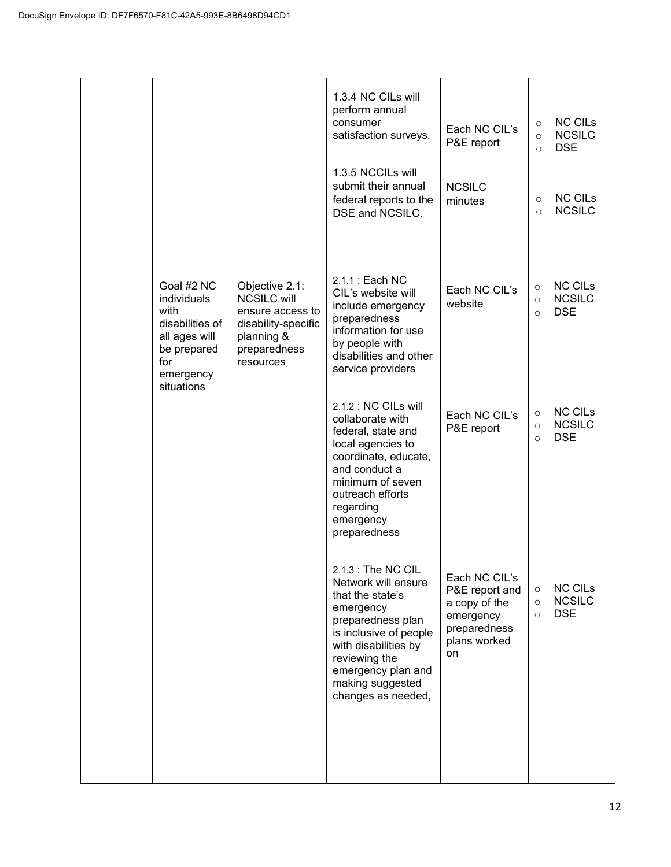|                                                                                                                        |                                                                                                                            | 1.3.4 NC CILs will<br>perform annual<br>consumer<br>satisfaction surveys.<br>1.3.5 NCCILs will<br>submit their annual<br>federal reports to the<br>DSE and NCSILC.                                                                   | Each NC CIL's<br>P&E report<br><b>NCSILC</b><br>minutes                                             | $\circ$<br>$\circ$<br>$\circ$<br>$\circ$<br>$\circ$ | <b>NC CILS</b><br><b>NCSILC</b><br><b>DSE</b><br><b>NC CILS</b><br><b>NCSILC</b> |
|------------------------------------------------------------------------------------------------------------------------|----------------------------------------------------------------------------------------------------------------------------|--------------------------------------------------------------------------------------------------------------------------------------------------------------------------------------------------------------------------------------|-----------------------------------------------------------------------------------------------------|-----------------------------------------------------|----------------------------------------------------------------------------------|
| Goal #2 NC<br>individuals<br>with<br>disabilities of<br>all ages will<br>be prepared<br>for<br>emergency<br>situations | Objective 2.1:<br><b>NCSILC will</b><br>ensure access to<br>disability-specific<br>planning &<br>preparedness<br>resources | 2.1.1 : Each NC<br>CIL's website will<br>include emergency<br>preparedness<br>information for use<br>by people with<br>disabilities and other<br>service providers                                                                   | Each NC CIL's<br>website                                                                            | $\circ$<br>$\circ$<br>$\circ$                       | <b>NC CILs</b><br><b>NCSILC</b><br><b>DSE</b>                                    |
|                                                                                                                        |                                                                                                                            | 2.1.2 : NC CILs will<br>collaborate with<br>federal, state and<br>local agencies to<br>coordinate, educate,<br>and conduct a<br>minimum of seven<br>outreach efforts<br>regarding<br>emergency<br>preparedness                       | Each NC CIL's<br>P&E report                                                                         | $\circ$<br>$\circ$<br>$\circ$                       | <b>NC CILs</b><br><b>NCSILC</b><br><b>DSE</b>                                    |
|                                                                                                                        |                                                                                                                            | $2.1.3$ : The NC CIL<br>Network will ensure<br>that the state's<br>emergency<br>preparedness plan<br>is inclusive of people<br>with disabilities by<br>reviewing the<br>emergency plan and<br>making suggested<br>changes as needed, | Each NC CIL's<br>P&E report and<br>a copy of the<br>emergency<br>preparedness<br>plans worked<br>on | $\circ$<br>$\circ$<br>$\circ$                       | <b>NC CILS</b><br><b>NCSILC</b><br><b>DSE</b>                                    |
|                                                                                                                        |                                                                                                                            |                                                                                                                                                                                                                                      |                                                                                                     |                                                     |                                                                                  |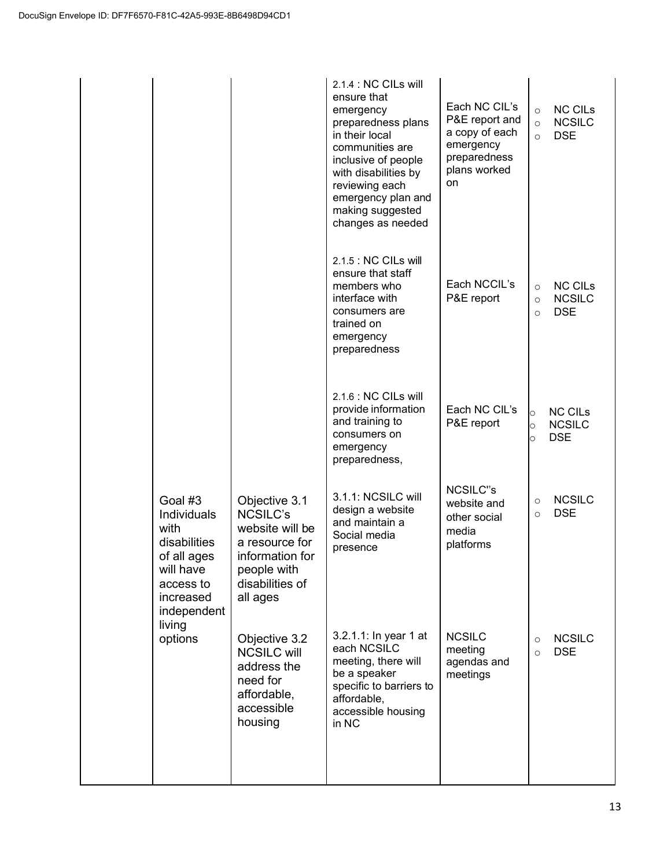|                                                                                                                     |                                                                                                                                        | 2.1.4 : NC CILs will<br>ensure that<br>emergency<br>preparedness plans<br>in their local<br>communities are<br>inclusive of people<br>with disabilities by<br>reviewing each<br>emergency plan and<br>making suggested<br>changes as needed | Each NC CIL's<br>P&E report and<br>a copy of each<br>emergency<br>preparedness<br>plans worked<br>on | <b>NC CILS</b><br>$\circ$<br><b>NCSILC</b><br>$\circ$<br><b>DSE</b><br>$\Omega$ |
|---------------------------------------------------------------------------------------------------------------------|----------------------------------------------------------------------------------------------------------------------------------------|---------------------------------------------------------------------------------------------------------------------------------------------------------------------------------------------------------------------------------------------|------------------------------------------------------------------------------------------------------|---------------------------------------------------------------------------------|
|                                                                                                                     |                                                                                                                                        | 2.1.5 : NC CILs will<br>ensure that staff<br>members who<br>interface with<br>consumers are<br>trained on<br>emergency<br>preparedness                                                                                                      | Each NCCIL's<br>P&E report                                                                           | <b>NC CILS</b><br>$\circ$<br><b>NCSILC</b><br>$\circ$<br><b>DSE</b><br>$\Omega$ |
|                                                                                                                     |                                                                                                                                        | 2.1.6 : NC CILs will<br>provide information<br>and training to<br>consumers on<br>emergency<br>preparedness,                                                                                                                                | Each NC CIL's<br>P&E report                                                                          | <b>NC CILS</b><br>$\circ$<br><b>NCSILC</b><br>$\circ$<br><b>DSE</b><br>$\circ$  |
| Goal #3<br>Individuals<br>with<br>disabilities<br>of all ages<br>will have<br>access to<br>increased<br>independent | Objective 3.1<br><b>NCSILC's</b><br>website will be<br>a resource for<br>information for<br>people with<br>disabilities of<br>all ages | 3.1.1: NCSILC will<br>design a website<br>and maintain a<br>Social media<br>presence                                                                                                                                                        | <b>NCSILC"s</b><br>website and<br>other social<br>media<br>platforms                                 | <b>NCSILC</b><br>$\circ$<br><b>DSE</b><br>$\circ$                               |
| living<br>options                                                                                                   | Objective 3.2<br><b>NCSILC will</b><br>address the<br>need for<br>affordable,<br>accessible<br>housing                                 | 3.2.1.1: In year 1 at<br>each NCSILC<br>meeting, there will<br>be a speaker<br>specific to barriers to<br>affordable,<br>accessible housing<br>in NC                                                                                        | <b>NCSILC</b><br>meeting<br>agendas and<br>meetings                                                  | <b>NCSILC</b><br>$\circ$<br><b>DSE</b><br>$\circ$                               |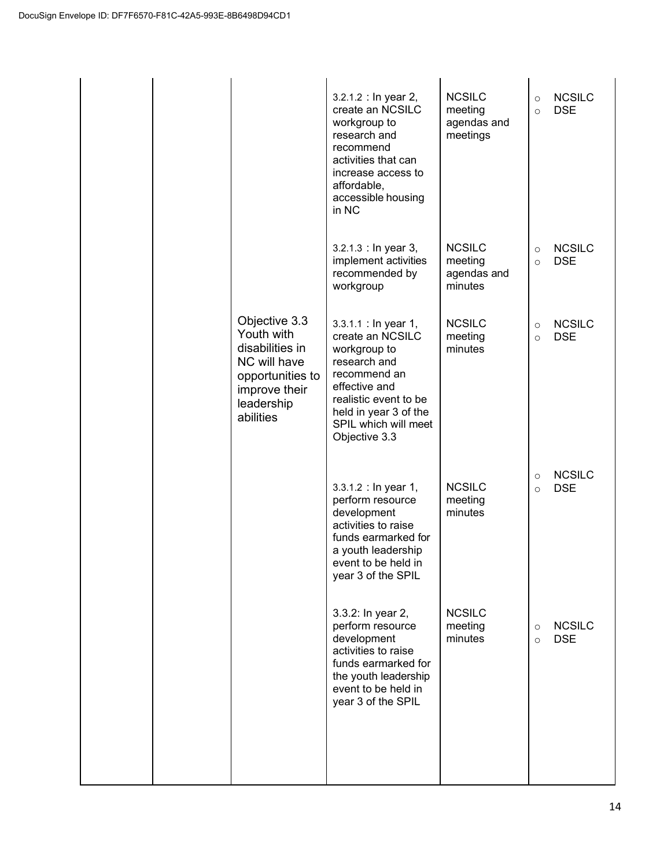|  |                                                                                                                                | 3.2.1.2 : In year 2,<br>create an NCSILC<br>workgroup to<br>research and<br>recommend<br>activities that can<br>increase access to<br>affordable,<br>accessible housing<br>in NC                     | <b>NCSILC</b><br>meeting<br>agendas and<br>meetings | $\circ$<br>$\circ$ | <b>NCSILC</b><br><b>DSE</b> |
|--|--------------------------------------------------------------------------------------------------------------------------------|------------------------------------------------------------------------------------------------------------------------------------------------------------------------------------------------------|-----------------------------------------------------|--------------------|-----------------------------|
|  |                                                                                                                                | 3.2.1.3 : In year 3,<br>implement activities<br>recommended by<br>workgroup                                                                                                                          | <b>NCSILC</b><br>meeting<br>agendas and<br>minutes  | $\circ$<br>$\circ$ | <b>NCSILC</b><br><b>DSE</b> |
|  | Objective 3.3<br>Youth with<br>disabilities in<br>NC will have<br>opportunities to<br>improve their<br>leadership<br>abilities | 3.3.1.1 : In year 1,<br>create an NCSILC<br>workgroup to<br>research and<br>recommend an<br>effective and<br>realistic event to be<br>held in year 3 of the<br>SPIL which will meet<br>Objective 3.3 | <b>NCSILC</b><br>meeting<br>minutes                 | $\circ$<br>$\circ$ | <b>NCSILC</b><br><b>DSE</b> |
|  |                                                                                                                                | 3.3.1.2 : In year 1,<br>perform resource<br>development<br>activities to raise<br>funds earmarked for<br>a youth leadership<br>event to be held in<br>year 3 of the SPIL                             | <b>NCSILC</b><br>meeting<br>minutes                 | $\circ$<br>$\circ$ | <b>NCSILC</b><br><b>DSE</b> |
|  |                                                                                                                                | 3.3.2: In year 2,<br>perform resource<br>development<br>activities to raise<br>funds earmarked for<br>the youth leadership<br>event to be held in<br>year 3 of the SPIL                              | <b>NCSILC</b><br>meeting<br>minutes                 | $\circ$<br>$\circ$ | <b>NCSILC</b><br><b>DSE</b> |
|  |                                                                                                                                |                                                                                                                                                                                                      |                                                     |                    |                             |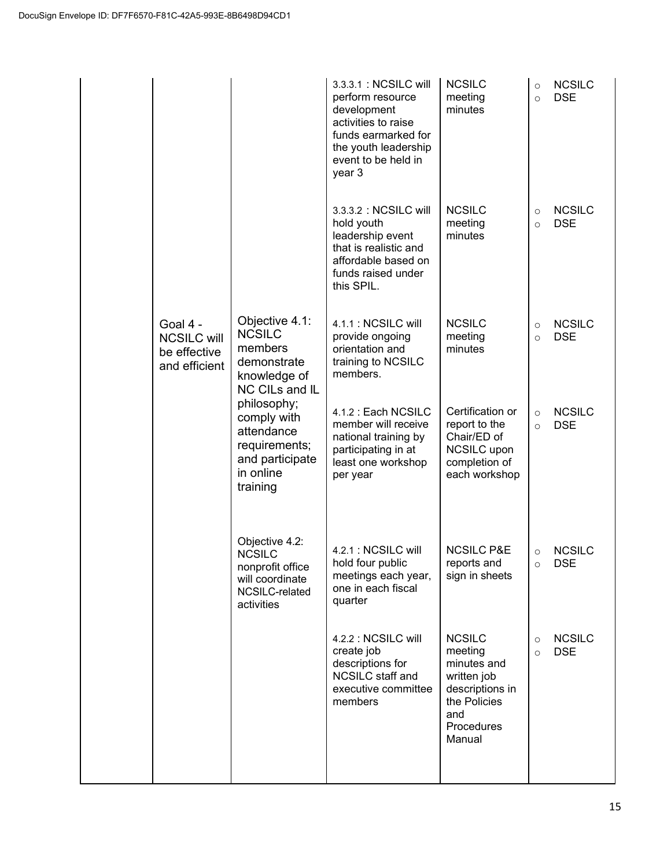|                                                                 |                                                                                                        | 3.3.3.1: NCSILC will<br>perform resource<br>development<br>activities to raise<br>funds earmarked for<br>the youth leadership<br>event to be held in<br>year 3 | <b>NCSILC</b><br>meeting<br>minutes                                                                                      | $\circ$<br>$\circ$ | <b>NCSILC</b><br><b>DSE</b> |
|-----------------------------------------------------------------|--------------------------------------------------------------------------------------------------------|----------------------------------------------------------------------------------------------------------------------------------------------------------------|--------------------------------------------------------------------------------------------------------------------------|--------------------|-----------------------------|
|                                                                 |                                                                                                        | 3.3.3.2 : NCSILC will<br>hold youth<br>leadership event<br>that is realistic and<br>affordable based on<br>funds raised under<br>this SPIL.                    | <b>NCSILC</b><br>meeting<br>minutes                                                                                      | $\circ$<br>$\circ$ | <b>NCSILC</b><br><b>DSE</b> |
| Goal 4 -<br><b>NCSILC will</b><br>be effective<br>and efficient | Objective 4.1:<br><b>NCSILC</b><br>members<br>demonstrate<br>knowledge of<br>NC CILs and IL            | 4.1.1 : NCSILC will<br>provide ongoing<br>orientation and<br>training to NCSILC<br>members.                                                                    | <b>NCSILC</b><br>meeting<br>minutes                                                                                      | $\circ$<br>$\circ$ | <b>NCSILC</b><br><b>DSE</b> |
|                                                                 | philosophy;<br>comply with<br>attendance<br>requirements;<br>and participate<br>in online<br>training  | 4.1.2 : Each NCSILC<br>member will receive<br>national training by<br>participating in at<br>least one workshop<br>per year                                    | Certification or<br>report to the<br>Chair/ED of<br><b>NCSILC</b> upon<br>completion of<br>each workshop                 | $\circ$<br>$\circ$ | <b>NCSILC</b><br><b>DSE</b> |
|                                                                 | Objective 4.2:<br><b>NCSILC</b><br>nonprofit office<br>will coordinate<br>NCSILC-related<br>activities | 4.2.1 : NCSILC will<br>hold four public<br>meetings each year,<br>one in each fiscal<br>quarter                                                                | <b>NCSILC P&amp;E</b><br>reports and<br>sign in sheets                                                                   | $\circ$<br>$\circ$ | <b>NCSILC</b><br><b>DSE</b> |
|                                                                 |                                                                                                        | 4.2.2 : NCSILC will<br>create job<br>descriptions for<br><b>NCSILC</b> staff and<br>executive committee<br>members                                             | <b>NCSILC</b><br>meeting<br>minutes and<br>written job<br>descriptions in<br>the Policies<br>and<br>Procedures<br>Manual | $\circ$<br>$\circ$ | <b>NCSILC</b><br><b>DSE</b> |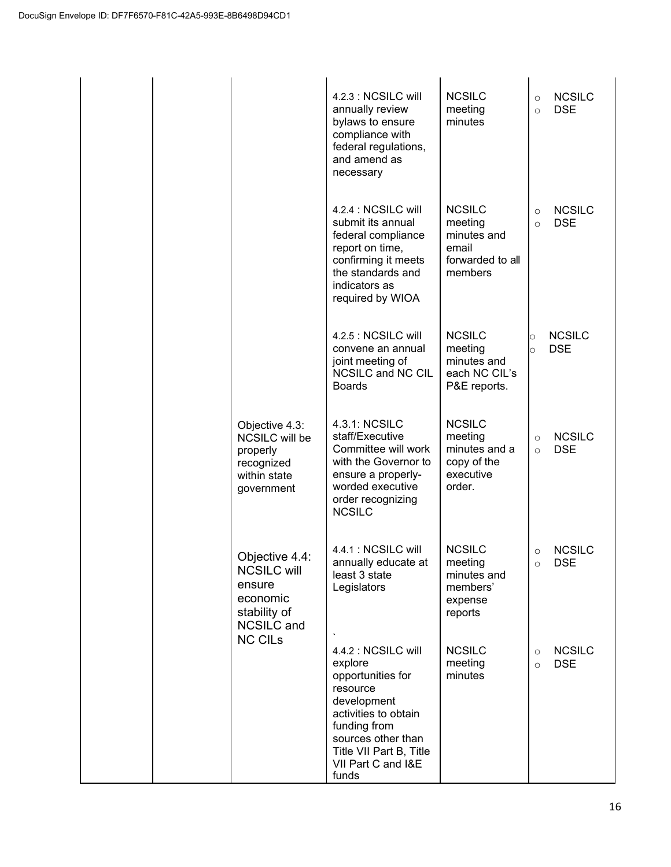|  |                                                                                                 | 4.2.3 : NCSILC will<br>annually review<br>bylaws to ensure<br>compliance with<br>federal regulations,<br>and amend as<br>necessary                                                                     | <b>NCSILC</b><br>meeting<br>minutes                                             | $\circ$<br>$\Omega$  | <b>NCSILC</b><br><b>DSE</b> |
|--|-------------------------------------------------------------------------------------------------|--------------------------------------------------------------------------------------------------------------------------------------------------------------------------------------------------------|---------------------------------------------------------------------------------|----------------------|-----------------------------|
|  |                                                                                                 | 4.2.4 : NCSILC will<br>submit its annual<br>federal compliance<br>report on time,<br>confirming it meets<br>the standards and<br>indicators as<br>required by WIOA                                     | <b>NCSILC</b><br>meeting<br>minutes and<br>email<br>forwarded to all<br>members | $\Omega$<br>$\Omega$ | <b>NCSILC</b><br><b>DSE</b> |
|  |                                                                                                 | 4.2.5 : NCSILC will<br>convene an annual<br>joint meeting of<br>NCSILC and NC CIL<br><b>Boards</b>                                                                                                     | <b>NCSILC</b><br>meeting<br>minutes and<br>each NC CIL's<br>P&E reports.        | O<br>Ő               | <b>NCSILC</b><br><b>DSE</b> |
|  | Objective 4.3:<br>NCSILC will be<br>properly<br>recognized<br>within state<br>government        | 4.3.1: NCSILC<br>staff/Executive<br>Committee will work<br>with the Governor to<br>ensure a properly-<br>worded executive<br>order recognizing<br><b>NCSILC</b>                                        | <b>NCSILC</b><br>meeting<br>minutes and a<br>copy of the<br>executive<br>order. | $\Omega$<br>$\circ$  | <b>NCSILC</b><br><b>DSE</b> |
|  | Objective 4.4:<br><b>NCSILC will</b><br>ensure<br>economic<br>stability of<br><b>NCSILC</b> and | 4.4.1 : NCSILC will<br>annually educate at<br>least 3 state<br>Legislators                                                                                                                             | <b>NCSILC</b><br>meeting<br>minutes and<br>members'<br>expense<br>reports       | $\circ$              | <b>NCSILC</b><br><b>DSE</b> |
|  | <b>NC CILs</b>                                                                                  | 4.4.2 : NCSILC will<br>explore<br>opportunities for<br>resource<br>development<br>activities to obtain<br>funding from<br>sources other than<br>Title VII Part B, Title<br>VII Part C and I&E<br>funds | <b>NCSILC</b><br>meeting<br>minutes                                             | $\circ$<br>$\Omega$  | <b>NCSILC</b><br><b>DSE</b> |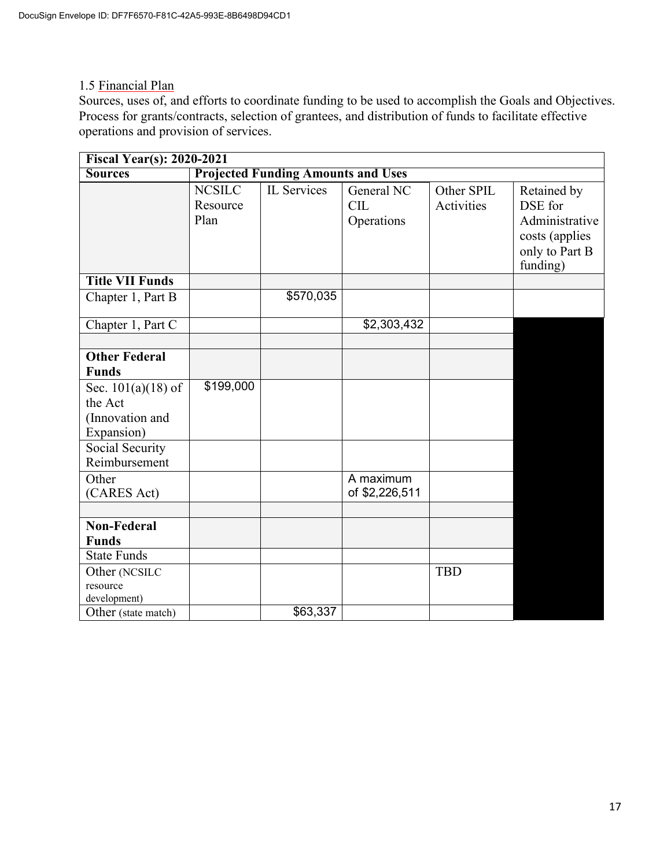## 1.5 Financial Plan

Sources, uses of, and efforts to coordinate funding to be used to accomplish the Goals and Objectives. Process for grants/contracts, selection of grantees, and distribution of funds to facilitate effective operations and provision of services.

| <b>Fiscal Year(s): 2020-2021</b>                                                                                                                                     |                                   |                                           |                                        |                          |                                                                                          |  |  |
|----------------------------------------------------------------------------------------------------------------------------------------------------------------------|-----------------------------------|-------------------------------------------|----------------------------------------|--------------------------|------------------------------------------------------------------------------------------|--|--|
| <b>Sources</b>                                                                                                                                                       |                                   | <b>Projected Funding Amounts and Uses</b> |                                        |                          |                                                                                          |  |  |
|                                                                                                                                                                      | <b>NCSILC</b><br>Resource<br>Plan | IL Services                               | General NC<br><b>CIL</b><br>Operations | Other SPIL<br>Activities | Retained by<br>DSE for<br>Administrative<br>costs (applies<br>only to Part B<br>funding) |  |  |
| <b>Title VII Funds</b>                                                                                                                                               |                                   |                                           |                                        |                          |                                                                                          |  |  |
| Chapter 1, Part B                                                                                                                                                    |                                   | \$570,035                                 |                                        |                          |                                                                                          |  |  |
| Chapter 1, Part C                                                                                                                                                    |                                   |                                           | \$2,303,432                            |                          |                                                                                          |  |  |
| <b>Other Federal</b><br><b>Funds</b><br>Sec. $101(a)(18)$ of<br>the Act<br>(Innovation and<br>Expansion)<br>Social Security<br>Reimbursement<br>Other<br>(CARES Act) | \$199,000                         |                                           | A maximum<br>of \$2,226,511            |                          |                                                                                          |  |  |
| <b>Non-Federal</b><br><b>Funds</b>                                                                                                                                   |                                   |                                           |                                        |                          |                                                                                          |  |  |
| <b>State Funds</b>                                                                                                                                                   |                                   |                                           |                                        |                          |                                                                                          |  |  |
| Other (NCSILC<br>resource<br>development)                                                                                                                            |                                   |                                           |                                        | <b>TBD</b>               |                                                                                          |  |  |
| Other (state match)                                                                                                                                                  |                                   | \$63,337                                  |                                        |                          |                                                                                          |  |  |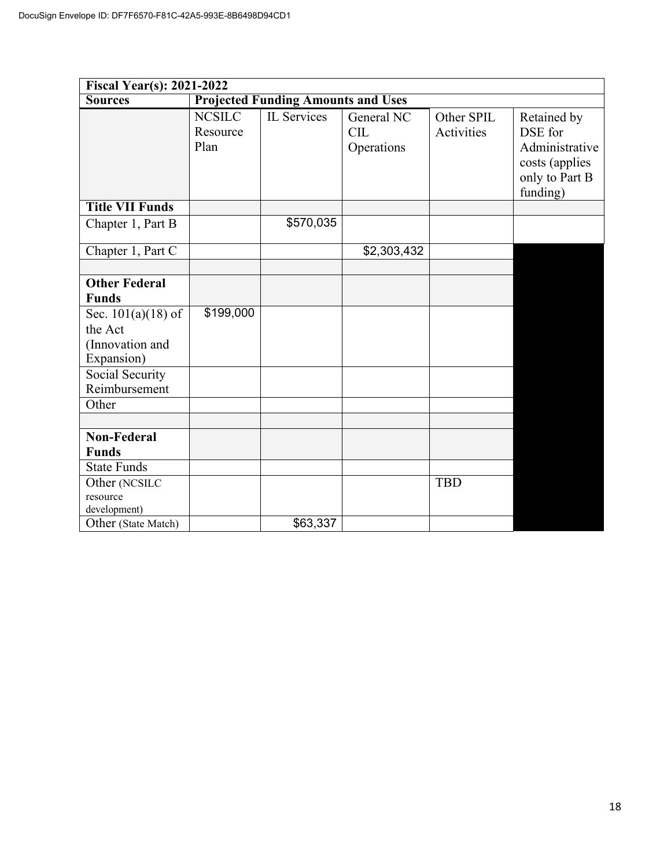|                        | Fiscal Year(s): 2021-2022         |                                           |                                        |                          |                                                                                          |  |  |  |
|------------------------|-----------------------------------|-------------------------------------------|----------------------------------------|--------------------------|------------------------------------------------------------------------------------------|--|--|--|
| <b>Sources</b>         |                                   | <b>Projected Funding Amounts and Uses</b> |                                        |                          |                                                                                          |  |  |  |
|                        | <b>NCSILC</b><br>Resource<br>Plan | IL Services                               | General NC<br><b>CIL</b><br>Operations | Other SPIL<br>Activities | Retained by<br>DSE for<br>Administrative<br>costs (applies<br>only to Part B<br>funding) |  |  |  |
| <b>Title VII Funds</b> |                                   |                                           |                                        |                          |                                                                                          |  |  |  |
| Chapter 1, Part B      |                                   | \$570,035                                 |                                        |                          |                                                                                          |  |  |  |
| Chapter 1, Part C      |                                   |                                           | \$2,303,432                            |                          |                                                                                          |  |  |  |
|                        |                                   |                                           |                                        |                          |                                                                                          |  |  |  |
| <b>Other Federal</b>   |                                   |                                           |                                        |                          |                                                                                          |  |  |  |
| <b>Funds</b>           |                                   |                                           |                                        |                          |                                                                                          |  |  |  |
| Sec. $101(a)(18)$ of   | \$199,000                         |                                           |                                        |                          |                                                                                          |  |  |  |
| the Act                |                                   |                                           |                                        |                          |                                                                                          |  |  |  |
| (Innovation and        |                                   |                                           |                                        |                          |                                                                                          |  |  |  |
| Expansion)             |                                   |                                           |                                        |                          |                                                                                          |  |  |  |
| Social Security        |                                   |                                           |                                        |                          |                                                                                          |  |  |  |
| Reimbursement          |                                   |                                           |                                        |                          |                                                                                          |  |  |  |
| Other                  |                                   |                                           |                                        |                          |                                                                                          |  |  |  |
|                        |                                   |                                           |                                        |                          |                                                                                          |  |  |  |
| <b>Non-Federal</b>     |                                   |                                           |                                        |                          |                                                                                          |  |  |  |
| <b>Funds</b>           |                                   |                                           |                                        |                          |                                                                                          |  |  |  |
| <b>State Funds</b>     |                                   |                                           |                                        |                          |                                                                                          |  |  |  |
| Other (NCSILC          |                                   |                                           |                                        | <b>TBD</b>               |                                                                                          |  |  |  |
| resource               |                                   |                                           |                                        |                          |                                                                                          |  |  |  |
| development)           |                                   |                                           |                                        |                          |                                                                                          |  |  |  |
| Other (State Match)    |                                   | \$63,337                                  |                                        |                          |                                                                                          |  |  |  |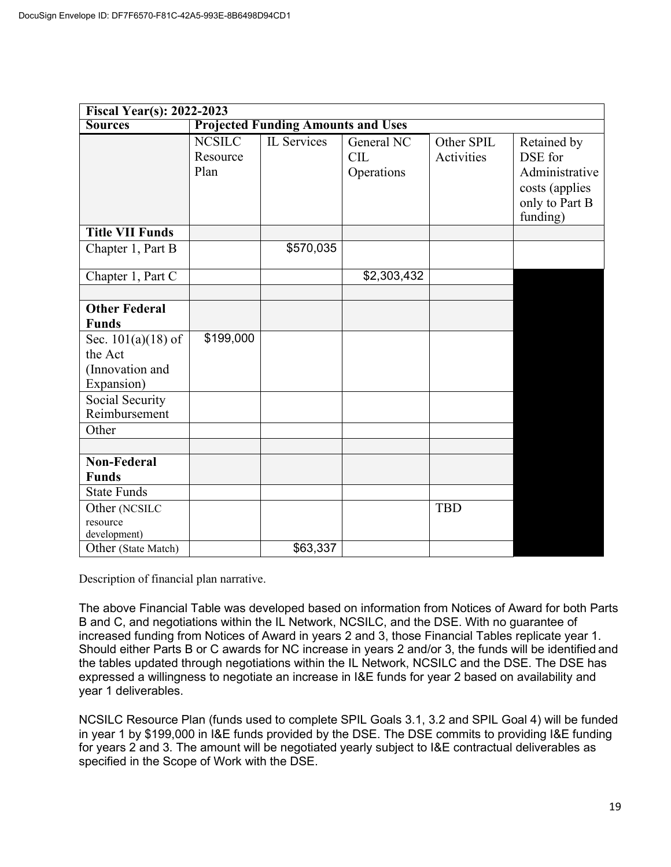| <b>Projected Funding Amounts and Uses</b><br><b>Sources</b><br><b>NCSILC</b><br>IL Services<br>General NC<br>Other SPIL<br>Retained by<br>DSE for<br>Resource<br>CIL<br>Activities<br>Plan<br>Administrative<br>Operations<br>costs (applies<br>only to Part B<br>funding)<br><b>Title VII Funds</b><br>\$570,035<br>Chapter 1, Part B<br>Chapter 1, Part C<br>\$2,303,432<br><b>Other Federal</b><br><b>Funds</b><br>\$199,000<br>Sec. $101(a)(18)$ of<br>the Act<br>(Innovation and<br>Expansion)<br>Social Security<br>Reimbursement<br>Other<br><b>Non-Federal</b><br><b>Funds</b><br><b>State Funds</b><br><b>TBD</b><br>Other (NCSILC<br>resource<br>development) | <b>Fiscal Year(s): 2022-2023</b> |  |  |  |  |  |  |  |
|-------------------------------------------------------------------------------------------------------------------------------------------------------------------------------------------------------------------------------------------------------------------------------------------------------------------------------------------------------------------------------------------------------------------------------------------------------------------------------------------------------------------------------------------------------------------------------------------------------------------------------------------------------------------------|----------------------------------|--|--|--|--|--|--|--|
|                                                                                                                                                                                                                                                                                                                                                                                                                                                                                                                                                                                                                                                                         |                                  |  |  |  |  |  |  |  |
|                                                                                                                                                                                                                                                                                                                                                                                                                                                                                                                                                                                                                                                                         |                                  |  |  |  |  |  |  |  |
|                                                                                                                                                                                                                                                                                                                                                                                                                                                                                                                                                                                                                                                                         |                                  |  |  |  |  |  |  |  |
|                                                                                                                                                                                                                                                                                                                                                                                                                                                                                                                                                                                                                                                                         |                                  |  |  |  |  |  |  |  |
|                                                                                                                                                                                                                                                                                                                                                                                                                                                                                                                                                                                                                                                                         |                                  |  |  |  |  |  |  |  |
|                                                                                                                                                                                                                                                                                                                                                                                                                                                                                                                                                                                                                                                                         |                                  |  |  |  |  |  |  |  |
|                                                                                                                                                                                                                                                                                                                                                                                                                                                                                                                                                                                                                                                                         |                                  |  |  |  |  |  |  |  |
|                                                                                                                                                                                                                                                                                                                                                                                                                                                                                                                                                                                                                                                                         |                                  |  |  |  |  |  |  |  |
|                                                                                                                                                                                                                                                                                                                                                                                                                                                                                                                                                                                                                                                                         |                                  |  |  |  |  |  |  |  |
|                                                                                                                                                                                                                                                                                                                                                                                                                                                                                                                                                                                                                                                                         |                                  |  |  |  |  |  |  |  |
|                                                                                                                                                                                                                                                                                                                                                                                                                                                                                                                                                                                                                                                                         |                                  |  |  |  |  |  |  |  |
|                                                                                                                                                                                                                                                                                                                                                                                                                                                                                                                                                                                                                                                                         |                                  |  |  |  |  |  |  |  |
|                                                                                                                                                                                                                                                                                                                                                                                                                                                                                                                                                                                                                                                                         |                                  |  |  |  |  |  |  |  |
|                                                                                                                                                                                                                                                                                                                                                                                                                                                                                                                                                                                                                                                                         |                                  |  |  |  |  |  |  |  |
|                                                                                                                                                                                                                                                                                                                                                                                                                                                                                                                                                                                                                                                                         |                                  |  |  |  |  |  |  |  |
|                                                                                                                                                                                                                                                                                                                                                                                                                                                                                                                                                                                                                                                                         |                                  |  |  |  |  |  |  |  |
|                                                                                                                                                                                                                                                                                                                                                                                                                                                                                                                                                                                                                                                                         |                                  |  |  |  |  |  |  |  |
|                                                                                                                                                                                                                                                                                                                                                                                                                                                                                                                                                                                                                                                                         |                                  |  |  |  |  |  |  |  |
|                                                                                                                                                                                                                                                                                                                                                                                                                                                                                                                                                                                                                                                                         |                                  |  |  |  |  |  |  |  |
| \$63,337<br>Other (State Match)                                                                                                                                                                                                                                                                                                                                                                                                                                                                                                                                                                                                                                         |                                  |  |  |  |  |  |  |  |

Description of financial plan narrative.

The above Financial Table was developed based on information from Notices of Award for both Parts B and C, and negotiations within the IL Network, NCSILC, and the DSE. With no guarantee of increased funding from Notices of Award in years 2 and 3, those Financial Tables replicate year 1. Should either Parts B or C awards for NC increase in years 2 and/or 3, the funds will be identified and the tables updated through negotiations within the IL Network, NCSILC and the DSE. The DSE has expressed a willingness to negotiate an increase in I&E funds for year 2 based on availability and year 1 deliverables.

NCSILC Resource Plan (funds used to complete SPIL Goals 3.1, 3.2 and SPIL Goal 4) will be funded in year 1 by \$199,000 in I&E funds provided by the DSE. The DSE commits to providing I&E funding for years 2 and 3. The amount will be negotiated yearly subject to I&E contractual deliverables as specified in the Scope of Work with the DSE.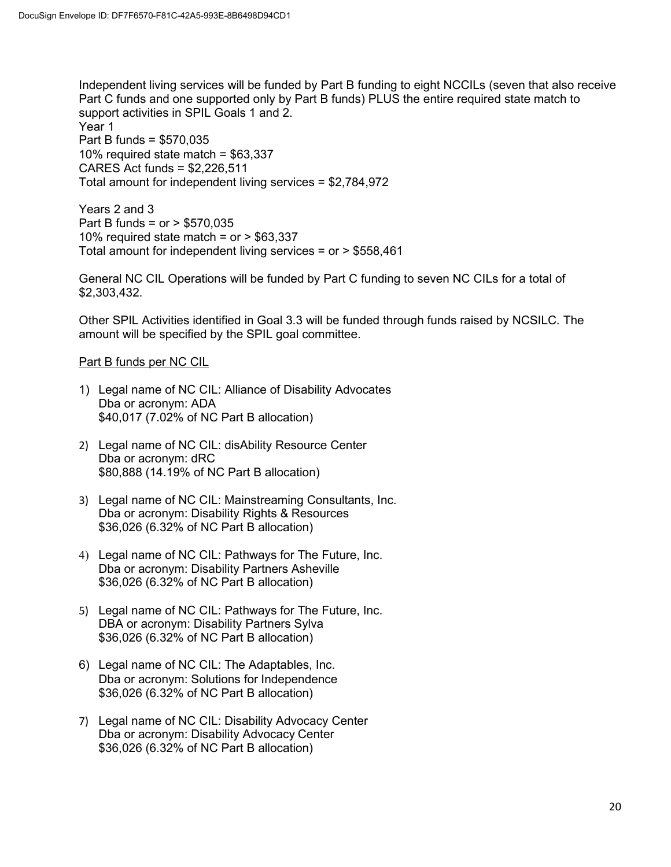Independent living services will be funded by Part B funding to eight NCCILs (seven that also receive Part C funds and one supported only by Part B funds) PLUS the entire required state match to support activities in SPIL Goals 1 and 2. Year 1 Part B funds = \$570,035 10% required state match = \$63,337 CARES Act funds = \$2,226,511 Total amount for independent living services = \$2,784,972

Years 2 and 3 Part B funds = or > \$570,035 10% required state match =  $or$  > \$63,337 Total amount for independent living services = or > \$558,461

General NC CIL Operations will be funded by Part C funding to seven NC CILs for a total of \$2,303,432.

Other SPIL Activities identified in Goal 3.3 will be funded through funds raised by NCSILC. The amount will be specified by the SPIL goal committee.

## Part B funds per NC CIL

- 1) Legal name of NC CIL: Alliance of Disability Advocates Dba or acronym: ADA \$40,017 (7.02% of NC Part B allocation)
- 2) Legal name of NC CIL: disAbility Resource Center Dba or acronym: dRC \$80,888 (14.19% of NC Part B allocation)
- 3) Legal name of NC CIL: Mainstreaming Consultants, Inc. Dba or acronym: Disability Rights & Resources \$36,026 (6.32% of NC Part B allocation)
- 4) Legal name of NC CIL: Pathways for The Future, Inc. Dba or acronym: Disability Partners Asheville \$36,026 (6.32% of NC Part B allocation)
- 5) Legal name of NC CIL: Pathways for The Future, Inc. DBA or acronym: Disability Partners Sylva \$36,026 (6.32% of NC Part B allocation)
- 6) Legal name of NC CIL: The Adaptables, Inc. Dba or acronym: Solutions for Independence \$36,026 (6.32% of NC Part B allocation)
- 7) Legal name of NC CIL: Disability Advocacy Center Dba or acronym: Disability Advocacy Center \$36,026 (6.32% of NC Part B allocation)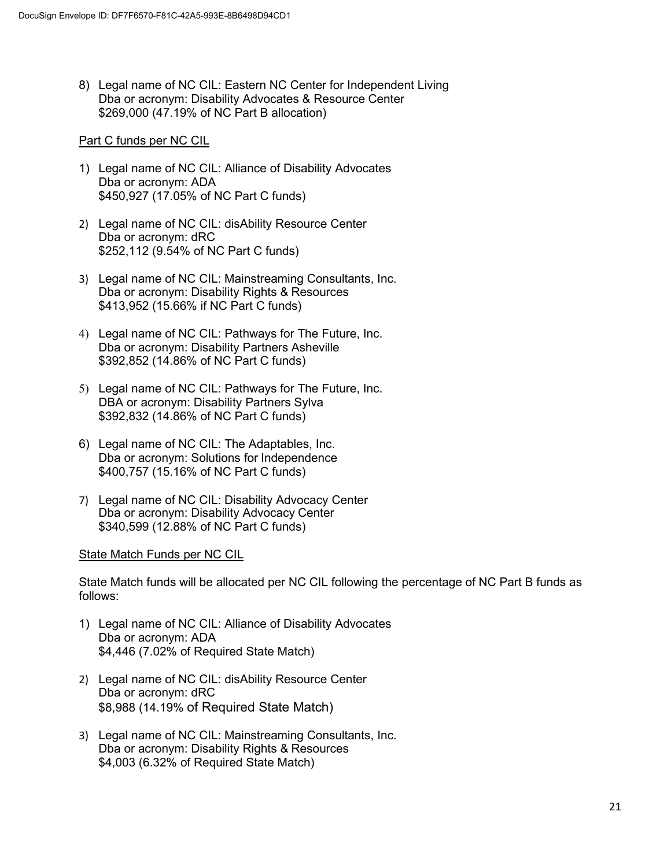8) Legal name of NC CIL: Eastern NC Center for Independent Living Dba or acronym: Disability Advocates & Resource Center \$269,000 (47.19% of NC Part B allocation)

## Part C funds per NC CIL

- 1) Legal name of NC CIL: Alliance of Disability Advocates Dba or acronym: ADA \$450,927 (17.05% of NC Part C funds)
- 2) Legal name of NC CIL: disAbility Resource Center Dba or acronym: dRC \$252,112 (9.54% of NC Part C funds)
- 3) Legal name of NC CIL: Mainstreaming Consultants, Inc. Dba or acronym: Disability Rights & Resources \$413,952 (15.66% if NC Part C funds)
- 4) Legal name of NC CIL: Pathways for The Future, Inc. Dba or acronym: Disability Partners Asheville \$392,852 (14.86% of NC Part C funds)
- 5) Legal name of NC CIL: Pathways for The Future, Inc. DBA or acronym: Disability Partners Sylva \$392,832 (14.86% of NC Part C funds)
- 6) Legal name of NC CIL: The Adaptables, Inc. Dba or acronym: Solutions for Independence \$400,757 (15.16% of NC Part C funds)
- 7) Legal name of NC CIL: Disability Advocacy Center Dba or acronym: Disability Advocacy Center \$340,599 (12.88% of NC Part C funds)

#### State Match Funds per NC CIL

State Match funds will be allocated per NC CIL following the percentage of NC Part B funds as follows:

- 1) Legal name of NC CIL: Alliance of Disability Advocates Dba or acronym: ADA \$4,446 (7.02% of Required State Match)
- 2) Legal name of NC CIL: disAbility Resource Center Dba or acronym: dRC \$8,988 (14.19% of Required State Match)
- 3) Legal name of NC CIL: Mainstreaming Consultants, Inc. Dba or acronym: Disability Rights & Resources \$4,003 (6.32% of Required State Match)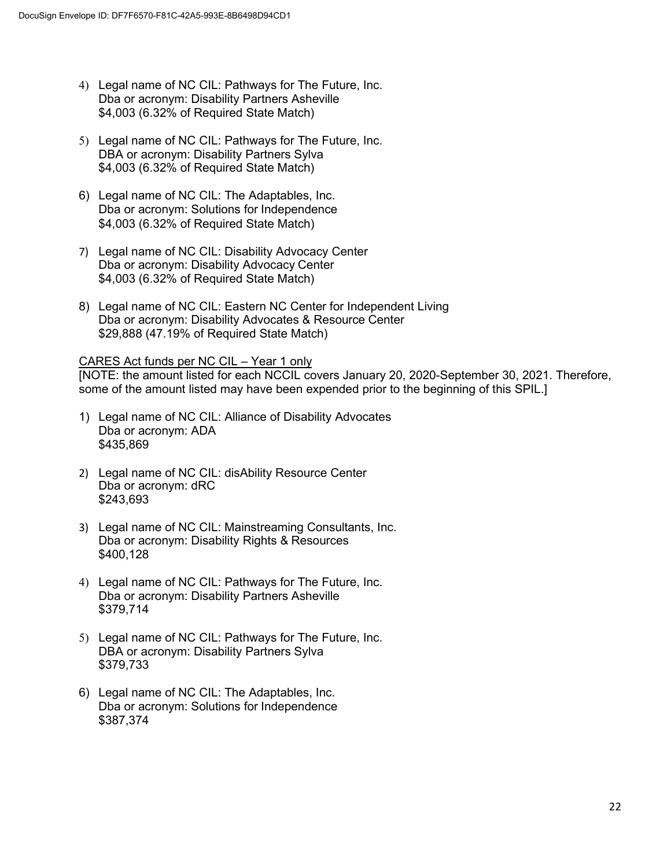- 4) Legal name of NC CIL: Pathways for The Future, Inc. Dba or acronym: Disability Partners Asheville \$4,003 (6.32% of Required State Match)
- 5) Legal name of NC CIL: Pathways for The Future, Inc. DBA or acronym: Disability Partners Sylva \$4,003 (6.32% of Required State Match)
- 6) Legal name of NC CIL: The Adaptables, Inc. Dba or acronym: Solutions for Independence \$4,003 (6.32% of Required State Match)
- 7) Legal name of NC CIL: Disability Advocacy Center Dba or acronym: Disability Advocacy Center \$4,003 (6.32% of Required State Match)
- 8) Legal name of NC CIL: Eastern NC Center for Independent Living Dba or acronym: Disability Advocates & Resource Center \$29,888 (47.19% of Required State Match)

## CARES Act funds per NC CIL – Year 1 only

[NOTE: the amount listed for each NCCIL covers January 20, 2020-September 30, 2021. Therefore, some of the amount listed may have been expended prior to the beginning of this SPIL.]

- 1) Legal name of NC CIL: Alliance of Disability Advocates Dba or acronym: ADA \$435,869
- 2) Legal name of NC CIL: disAbility Resource Center Dba or acronym: dRC \$243,693
- 3) Legal name of NC CIL: Mainstreaming Consultants, Inc. Dba or acronym: Disability Rights & Resources \$400,128
- 4) Legal name of NC CIL: Pathways for The Future, Inc. Dba or acronym: Disability Partners Asheville \$379,714
- 5) Legal name of NC CIL: Pathways for The Future, Inc. DBA or acronym: Disability Partners Sylva \$379,733
- 6) Legal name of NC CIL: The Adaptables, Inc. Dba or acronym: Solutions for Independence \$387,374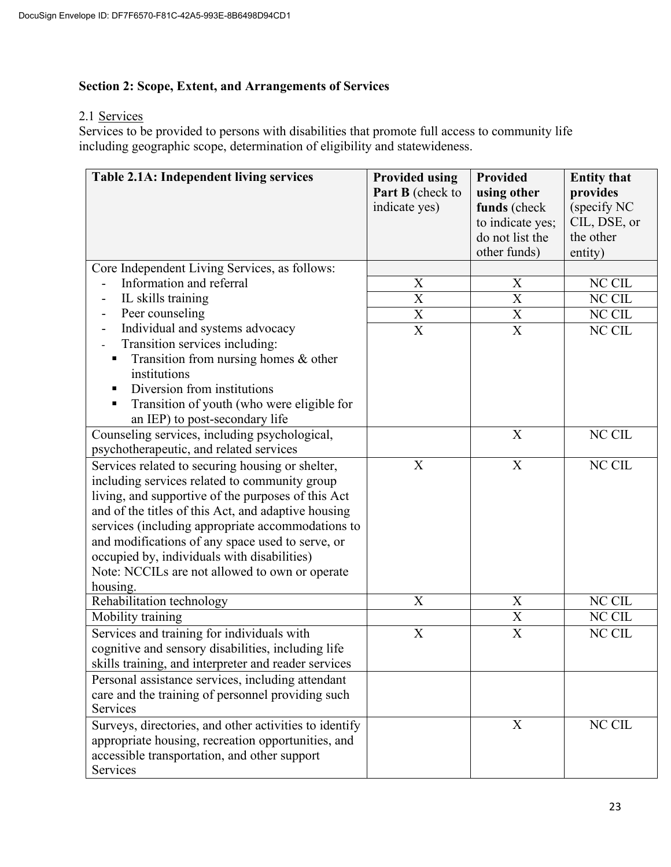## **Section 2: Scope, Extent, and Arrangements of Services**

## 2.1 Services

Services to be provided to persons with disabilities that promote full access to community life including geographic scope, determination of eligibility and statewideness.

| Table 2.1A: Independent living services                | <b>Provided using</b><br><b>Part B</b> (check to<br>indicate yes) | <b>Provided</b><br>using other<br>funds (check<br>to indicate yes;<br>do not list the<br>other funds) | <b>Entity that</b><br>provides<br>(specify NC<br>CIL, DSE, or<br>the other<br>entity) |
|--------------------------------------------------------|-------------------------------------------------------------------|-------------------------------------------------------------------------------------------------------|---------------------------------------------------------------------------------------|
| Core Independent Living Services, as follows:          |                                                                   |                                                                                                       |                                                                                       |
| Information and referral                               | $\overline{\text{X}}$                                             | $\boldsymbol{\mathrm{X}}$                                                                             | NC CIL                                                                                |
| IL skills training<br>$\overline{a}$                   | $\overline{\text{X}}$                                             | $\overline{\text{X}}$                                                                                 | NC CIL                                                                                |
| Peer counseling                                        | X                                                                 | $\boldsymbol{\mathrm{X}}$                                                                             | NC CIL                                                                                |
| Individual and systems advocacy                        | $\overline{\text{X}}$                                             | $\mathbf X$                                                                                           | NC CIL                                                                                |
| Transition services including:                         |                                                                   |                                                                                                       |                                                                                       |
| Transition from nursing homes & other                  |                                                                   |                                                                                                       |                                                                                       |
| institutions                                           |                                                                   |                                                                                                       |                                                                                       |
| Diversion from institutions                            |                                                                   |                                                                                                       |                                                                                       |
| Transition of youth (who were eligible for             |                                                                   |                                                                                                       |                                                                                       |
| an IEP) to post-secondary life                         |                                                                   |                                                                                                       |                                                                                       |
| Counseling services, including psychological,          |                                                                   | X                                                                                                     | NC CIL                                                                                |
| psychotherapeutic, and related services                |                                                                   |                                                                                                       |                                                                                       |
| Services related to securing housing or shelter,       | $\boldsymbol{\mathrm{X}}$                                         | $\boldsymbol{\mathrm{X}}$                                                                             | NC CIL                                                                                |
| including services related to community group          |                                                                   |                                                                                                       |                                                                                       |
| living, and supportive of the purposes of this Act     |                                                                   |                                                                                                       |                                                                                       |
| and of the titles of this Act, and adaptive housing    |                                                                   |                                                                                                       |                                                                                       |
| services (including appropriate accommodations to      |                                                                   |                                                                                                       |                                                                                       |
| and modifications of any space used to serve, or       |                                                                   |                                                                                                       |                                                                                       |
| occupied by, individuals with disabilities)            |                                                                   |                                                                                                       |                                                                                       |
| Note: NCCILs are not allowed to own or operate         |                                                                   |                                                                                                       |                                                                                       |
| housing.                                               |                                                                   |                                                                                                       |                                                                                       |
| Rehabilitation technology                              | X                                                                 | X                                                                                                     | NC CIL                                                                                |
| Mobility training                                      |                                                                   | $\overline{\text{X}}$                                                                                 | NC CIL                                                                                |
| Services and training for individuals with             | X                                                                 | $\mathbf X$                                                                                           | NC CIL                                                                                |
| cognitive and sensory disabilities, including life     |                                                                   |                                                                                                       |                                                                                       |
| skills training, and interpreter and reader services   |                                                                   |                                                                                                       |                                                                                       |
| Personal assistance services, including attendant      |                                                                   |                                                                                                       |                                                                                       |
| care and the training of personnel providing such      |                                                                   |                                                                                                       |                                                                                       |
| Services                                               |                                                                   |                                                                                                       |                                                                                       |
| Surveys, directories, and other activities to identify |                                                                   | X                                                                                                     | NC CIL                                                                                |
| appropriate housing, recreation opportunities, and     |                                                                   |                                                                                                       |                                                                                       |
| accessible transportation, and other support           |                                                                   |                                                                                                       |                                                                                       |
| Services                                               |                                                                   |                                                                                                       |                                                                                       |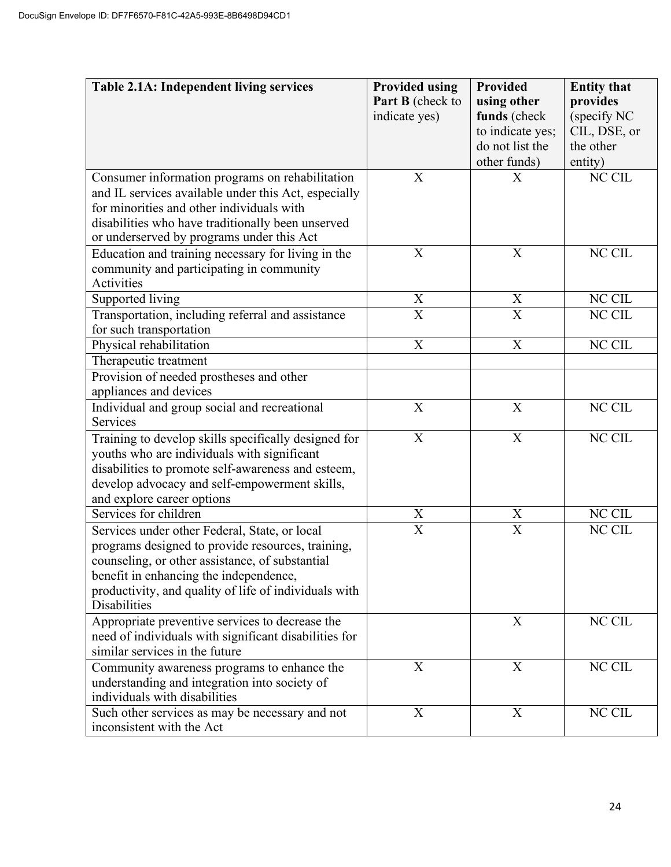| Table 2.1A: Independent living services                                                                                                                                                                                                                                  | <b>Provided using</b><br>Part B (check to<br>indicate yes) | <b>Provided</b><br>using other<br>funds (check<br>to indicate yes;<br>do not list the<br>other funds) | <b>Entity that</b><br>provides<br>(specify NC<br>CIL, DSE, or<br>the other<br>entity) |
|--------------------------------------------------------------------------------------------------------------------------------------------------------------------------------------------------------------------------------------------------------------------------|------------------------------------------------------------|-------------------------------------------------------------------------------------------------------|---------------------------------------------------------------------------------------|
| Consumer information programs on rehabilitation<br>and IL services available under this Act, especially<br>for minorities and other individuals with<br>disabilities who have traditionally been unserved<br>or underserved by programs under this Act                   | $\boldsymbol{\mathrm{X}}$                                  | X                                                                                                     | NC CIL                                                                                |
| Education and training necessary for living in the<br>community and participating in community<br>Activities                                                                                                                                                             | X                                                          | X                                                                                                     | NC CIL                                                                                |
| Supported living                                                                                                                                                                                                                                                         | $\mathbf X$                                                | X                                                                                                     | NC CIL                                                                                |
| Transportation, including referral and assistance<br>for such transportation                                                                                                                                                                                             | $\overline{\text{X}}$                                      | $\overline{\mathrm{X}}$                                                                               | NC CIL                                                                                |
| Physical rehabilitation                                                                                                                                                                                                                                                  | $\overline{\text{X}}$                                      | $\overline{\text{X}}$                                                                                 | NC CIL                                                                                |
| Therapeutic treatment                                                                                                                                                                                                                                                    |                                                            |                                                                                                       |                                                                                       |
| Provision of needed prostheses and other<br>appliances and devices                                                                                                                                                                                                       |                                                            |                                                                                                       |                                                                                       |
| Individual and group social and recreational<br>Services                                                                                                                                                                                                                 | $\boldsymbol{\mathrm{X}}$                                  | X                                                                                                     | NC CIL                                                                                |
| Training to develop skills specifically designed for<br>youths who are individuals with significant<br>disabilities to promote self-awareness and esteem,<br>develop advocacy and self-empowerment skills,<br>and explore career options                                 | $\boldsymbol{\mathrm{X}}$                                  | $\boldsymbol{\mathrm{X}}$                                                                             | NC CIL                                                                                |
| Services for children                                                                                                                                                                                                                                                    | $\boldsymbol{\mathrm{X}}$                                  | $\mathbf X$                                                                                           | NC CIL                                                                                |
| Services under other Federal, State, or local<br>programs designed to provide resources, training,<br>counseling, or other assistance, of substantial<br>benefit in enhancing the independence,<br>productivity, and quality of life of individuals with<br>Disabilities | $\overline{X}$                                             | $\overline{X}$                                                                                        | NC CIL                                                                                |
| Appropriate preventive services to decrease the<br>need of individuals with significant disabilities for<br>similar services in the future                                                                                                                               |                                                            | X                                                                                                     | NC CIL                                                                                |
| Community awareness programs to enhance the<br>understanding and integration into society of<br>individuals with disabilities                                                                                                                                            | X                                                          | X                                                                                                     | NC CIL                                                                                |
| Such other services as may be necessary and not<br>inconsistent with the Act                                                                                                                                                                                             | X                                                          | X                                                                                                     | NC CIL                                                                                |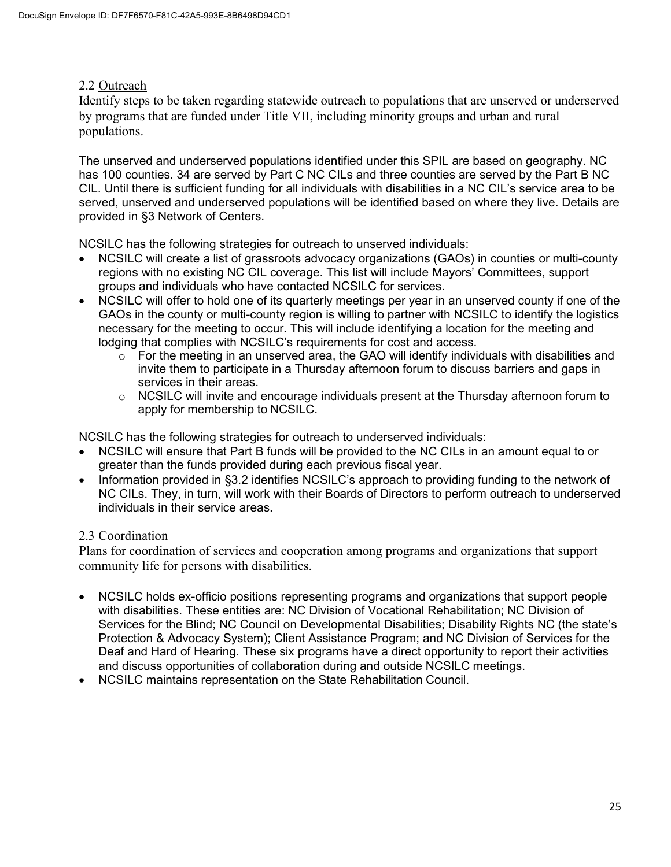## 2.2 Outreach

Identify steps to be taken regarding statewide outreach to populations that are unserved or underserved by programs that are funded under Title VII, including minority groups and urban and rural populations.

The unserved and underserved populations identified under this SPIL are based on geography. NC has 100 counties. 34 are served by Part C NC CILs and three counties are served by the Part B NC CIL. Until there is sufficient funding for all individuals with disabilities in a NC CIL's service area to be served, unserved and underserved populations will be identified based on where they live. Details are provided in §3 Network of Centers.

NCSILC has the following strategies for outreach to unserved individuals:

- NCSILC will create a list of grassroots advocacy organizations (GAOs) in counties or multi-county regions with no existing NC CIL coverage. This list will include Mayors' Committees, support groups and individuals who have contacted NCSILC for services.
- NCSILC will offer to hold one of its quarterly meetings per year in an unserved county if one of the GAOs in the county or multi-county region is willing to partner with NCSILC to identify the logistics necessary for the meeting to occur. This will include identifying a location for the meeting and lodging that complies with NCSILC's requirements for cost and access.
	- $\circ$  For the meeting in an unserved area, the GAO will identify individuals with disabilities and invite them to participate in a Thursday afternoon forum to discuss barriers and gaps in services in their areas.
	- $\circ$  NCSILC will invite and encourage individuals present at the Thursday afternoon forum to apply for membership to NCSILC.

NCSILC has the following strategies for outreach to underserved individuals:

- NCSILC will ensure that Part B funds will be provided to the NC CILs in an amount equal to or greater than the funds provided during each previous fiscal year.
- Information provided in §3.2 identifies NCSILC's approach to providing funding to the network of NC CILs. They, in turn, will work with their Boards of Directors to perform outreach to underserved individuals in their service areas.

## 2.3 Coordination

Plans for coordination of services and cooperation among programs and organizations that support community life for persons with disabilities.

- NCSILC holds ex-officio positions representing programs and organizations that support people with disabilities. These entities are: NC Division of Vocational Rehabilitation; NC Division of Services for the Blind; NC Council on Developmental Disabilities; Disability Rights NC (the state's Protection & Advocacy System); Client Assistance Program; and NC Division of Services for the Deaf and Hard of Hearing. These six programs have a direct opportunity to report their activities and discuss opportunities of collaboration during and outside NCSILC meetings.
- NCSILC maintains representation on the State Rehabilitation Council.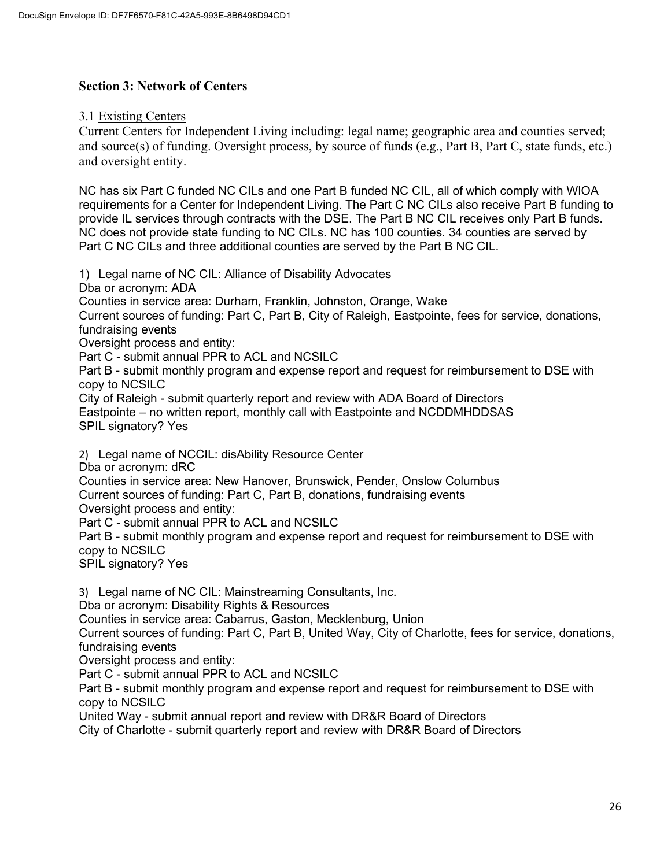## **Section 3: Network of Centers**

3.1 Existing Centers

Current Centers for Independent Living including: legal name; geographic area and counties served; and source(s) of funding. Oversight process, by source of funds (e.g., Part B, Part C, state funds, etc.) and oversight entity.

NC has six Part C funded NC CILs and one Part B funded NC CIL, all of which comply with WIOA requirements for a Center for Independent Living. The Part C NC CILs also receive Part B funding to provide IL services through contracts with the DSE. The Part B NC CIL receives only Part B funds. NC does not provide state funding to NC CILs. NC has 100 counties. 34 counties are served by Part C NC CILs and three additional counties are served by the Part B NC CIL.

1) Legal name of NC CIL: Alliance of Disability Advocates

Dba or acronym: ADA

Counties in service area: Durham, Franklin, Johnston, Orange, Wake

Current sources of funding: Part C, Part B, City of Raleigh, Eastpointe, fees for service, donations, fundraising events

Oversight process and entity:

Part C - submit annual PPR to ACL and NCSILC

Part B - submit monthly program and expense report and request for reimbursement to DSE with copy to NCSILC

City of Raleigh - submit quarterly report and review with ADA Board of Directors Eastpointe – no written report, monthly call with Eastpointe and NCDDMHDDSAS SPIL signatory? Yes

2) Legal name of NCCIL: disAbility Resource Center

Dba or acronym: dRC

Counties in service area: New Hanover, Brunswick, Pender, Onslow Columbus

Current sources of funding: Part C, Part B, donations, fundraising events

Oversight process and entity:

Part C - submit annual PPR to ACL and NCSILC

Part B - submit monthly program and expense report and request for reimbursement to DSE with copy to NCSILC

SPIL signatory? Yes

3) Legal name of NC CIL: Mainstreaming Consultants, Inc.

Dba or acronym: Disability Rights & Resources

Counties in service area: Cabarrus, Gaston, Mecklenburg, Union

Current sources of funding: Part C, Part B, United Way, City of Charlotte, fees for service, donations, fundraising events

Oversight process and entity:

Part C - submit annual PPR to ACL and NCSILC

Part B - submit monthly program and expense report and request for reimbursement to DSE with copy to NCSILC

United Way - submit annual report and review with DR&R Board of Directors

City of Charlotte - submit quarterly report and review with DR&R Board of Directors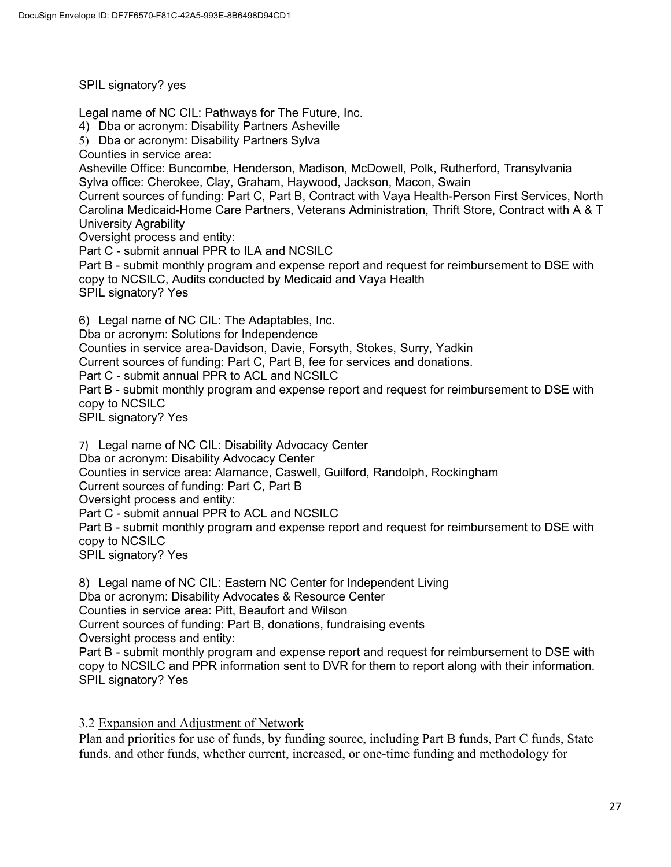SPIL signatory? yes

Legal name of NC CIL: Pathways for The Future, Inc.

4) Dba or acronym: Disability Partners Asheville

5) Dba or acronym: Disability Partners Sylva

Counties in service area:

Asheville Office: Buncombe, Henderson, Madison, McDowell, Polk, Rutherford, Transylvania Sylva office: Cherokee, Clay, Graham, Haywood, Jackson, Macon, Swain

Current sources of funding: Part C, Part B, Contract with Vaya Health-Person First Services, North Carolina Medicaid-Home Care Partners, Veterans Administration, Thrift Store, Contract with A & T University Agrability

Oversight process and entity:

Part C - submit annual PPR to ILA and NCSILC

Part B - submit monthly program and expense report and request for reimbursement to DSE with copy to NCSILC, Audits conducted by Medicaid and Vaya Health SPIL signatory? Yes

6) Legal name of NC CIL: The Adaptables, Inc.

Dba or acronym: Solutions for Independence

Counties in service area-Davidson, Davie, Forsyth, Stokes, Surry, Yadkin

Current sources of funding: Part C, Part B, fee for services and donations.

Part C - submit annual PPR to ACL and NCSILC

Part B - submit monthly program and expense report and request for reimbursement to DSE with copy to NCSILC

SPIL signatory? Yes

7) Legal name of NC CIL: Disability Advocacy Center Dba or acronym: Disability Advocacy Center Counties in service area: Alamance, Caswell, Guilford, Randolph, Rockingham Current sources of funding: Part C, Part B Oversight process and entity: Part C - submit annual PPR to ACL and NCSILC Part B - submit monthly program and expense report and request for reimbursement to DSE with copy to NCSILC SPIL signatory? Yes

8) Legal name of NC CIL: Eastern NC Center for Independent Living Dba or acronym: Disability Advocates & Resource Center Counties in service area: Pitt, Beaufort and Wilson Current sources of funding: Part B, donations, fundraising events Oversight process and entity: Part B - submit monthly program and expense report and request for reimbursement to DSE with copy to NCSILC and PPR information sent to DVR for them to report along with their information. SPIL signatory? Yes

3.2 Expansion and Adjustment of Network

Plan and priorities for use of funds, by funding source, including Part B funds, Part C funds, State funds, and other funds, whether current, increased, or one-time funding and methodology for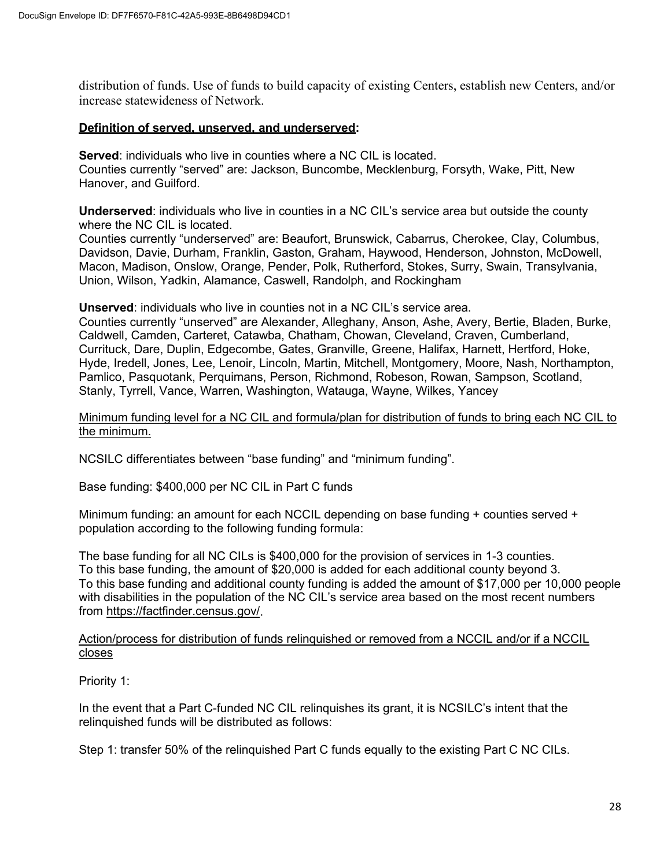distribution of funds. Use of funds to build capacity of existing Centers, establish new Centers, and/or increase statewideness of Network.

#### **Definition of served, unserved, and underserved:**

**Served**: individuals who live in counties where a NC CIL is located. Counties currently "served" are: Jackson, Buncombe, Mecklenburg, Forsyth, Wake, Pitt, New Hanover, and Guilford.

**Underserved**: individuals who live in counties in a NC CIL's service area but outside the county where the NC CIL is located.

Counties currently "underserved" are: Beaufort, Brunswick, Cabarrus, Cherokee, Clay, Columbus, Davidson, Davie, Durham, Franklin, Gaston, Graham, Haywood, Henderson, Johnston, McDowell, Macon, Madison, Onslow, Orange, Pender, Polk, Rutherford, Stokes, Surry, Swain, Transylvania, Union, Wilson, Yadkin, Alamance, Caswell, Randolph, and Rockingham

**Unserved**: individuals who live in counties not in a NC CIL's service area.

Counties currently "unserved" are Alexander, Alleghany, Anson, Ashe, Avery, Bertie, Bladen, Burke, Caldwell, Camden, Carteret, Catawba, Chatham, Chowan, Cleveland, Craven, Cumberland, Currituck, Dare, Duplin, Edgecombe, Gates, Granville, Greene, Halifax, Harnett, Hertford, Hoke, Hyde, Iredell, Jones, Lee, Lenoir, Lincoln, Martin, Mitchell, Montgomery, Moore, Nash, Northampton, Pamlico, Pasquotank, Perquimans, Person, Richmond, Robeson, Rowan, Sampson, Scotland, Stanly, Tyrrell, Vance, Warren, Washington, Watauga, Wayne, Wilkes, Yancey

Minimum funding level for a NC CIL and formula/plan for distribution of funds to bring each NC CIL to the minimum.

NCSILC differentiates between "base funding" and "minimum funding".

Base funding: \$400,000 per NC CIL in Part C funds

Minimum funding: an amount for each NCCIL depending on base funding + counties served + population according to the following funding formula:

The base funding for all NC CILs is \$400,000 for the provision of services in 1-3 counties. To this base funding, the amount of \$20,000 is added for each additional county beyond 3. To this base funding and additional county funding is added the amount of \$17,000 per 10,000 people with disabilities in the population of the NC CIL's service area based on the most recent numbers from [https://factfinder.census.gov/.](https://factfinder.census.gov/)

#### Action/process for distribution of funds relinquished or removed from a NCCIL and/or if a NCCIL closes

Priority 1:

In the event that a Part C-funded NC CIL relinquishes its grant, it is NCSILC's intent that the relinquished funds will be distributed as follows:

Step 1: transfer 50% of the relinquished Part C funds equally to the existing Part C NC CILs.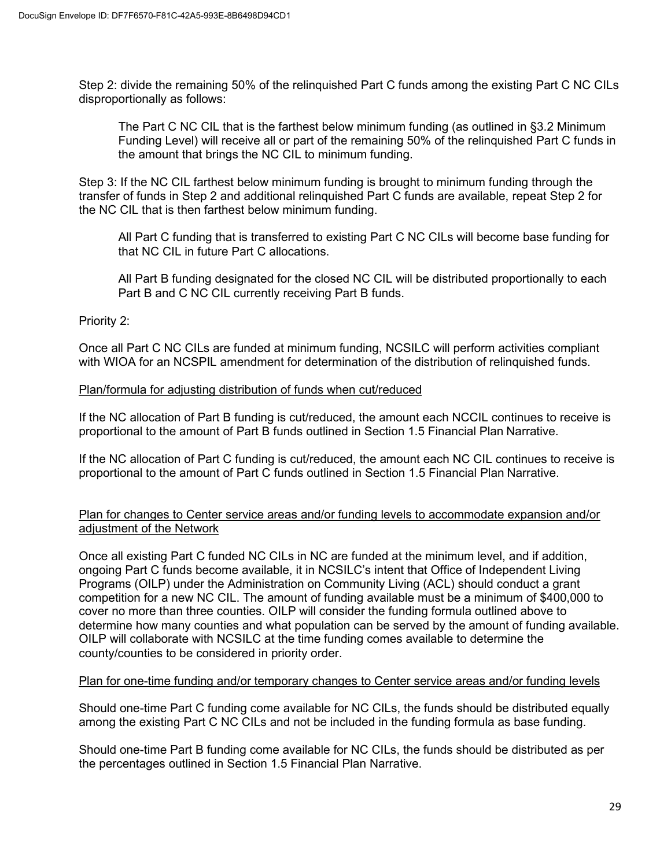Step 2: divide the remaining 50% of the relinquished Part C funds among the existing Part C NC CILs disproportionally as follows:

The Part C NC CIL that is the farthest below minimum funding (as outlined in §3.2 Minimum Funding Level) will receive all or part of the remaining 50% of the relinquished Part C funds in the amount that brings the NC CIL to minimum funding.

Step 3: If the NC CIL farthest below minimum funding is brought to minimum funding through the transfer of funds in Step 2 and additional relinquished Part C funds are available, repeat Step 2 for the NC CIL that is then farthest below minimum funding.

All Part C funding that is transferred to existing Part C NC CILs will become base funding for that NC CIL in future Part C allocations.

All Part B funding designated for the closed NC CIL will be distributed proportionally to each Part B and C NC CIL currently receiving Part B funds.

Priority 2:

Once all Part C NC CILs are funded at minimum funding, NCSILC will perform activities compliant with WIOA for an NCSPIL amendment for determination of the distribution of relinquished funds.

#### Plan/formula for adjusting distribution of funds when cut/reduced

If the NC allocation of Part B funding is cut/reduced, the amount each NCCIL continues to receive is proportional to the amount of Part B funds outlined in Section 1.5 Financial Plan Narrative.

If the NC allocation of Part C funding is cut/reduced, the amount each NC CIL continues to receive is proportional to the amount of Part C funds outlined in Section 1.5 Financial Plan Narrative.

## Plan for changes to Center service areas and/or funding levels to accommodate expansion and/or adjustment of the Network

Once all existing Part C funded NC CILs in NC are funded at the minimum level, and if addition, ongoing Part C funds become available, it in NCSILC's intent that Office of Independent Living Programs (OILP) under the Administration on Community Living (ACL) should conduct a grant competition for a new NC CIL. The amount of funding available must be a minimum of \$400,000 to cover no more than three counties. OILP will consider the funding formula outlined above to determine how many counties and what population can be served by the amount of funding available. OILP will collaborate with NCSILC at the time funding comes available to determine the county/counties to be considered in priority order.

## Plan for one-time funding and/or temporary changes to Center service areas and/or funding levels

Should one-time Part C funding come available for NC CILs, the funds should be distributed equally among the existing Part C NC CILs and not be included in the funding formula as base funding.

Should one-time Part B funding come available for NC CILs, the funds should be distributed as per the percentages outlined in Section 1.5 Financial Plan Narrative.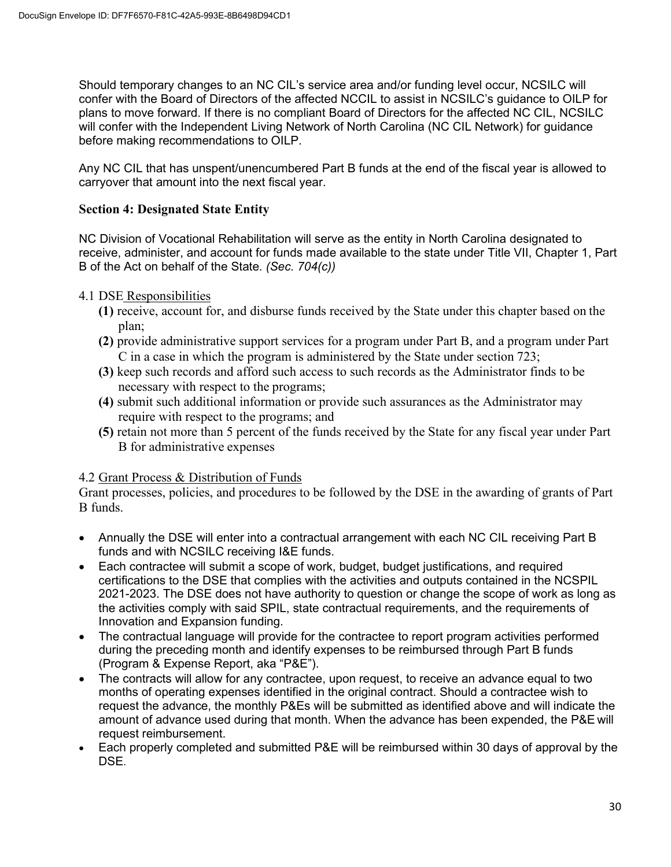Should temporary changes to an NC CIL's service area and/or funding level occur, NCSILC will confer with the Board of Directors of the affected NCCIL to assist in NCSILC's guidance to OILP for plans to move forward. If there is no compliant Board of Directors for the affected NC CIL, NCSILC will confer with the Independent Living Network of North Carolina (NC CIL Network) for guidance before making recommendations to OILP.

Any NC CIL that has unspent/unencumbered Part B funds at the end of the fiscal year is allowed to carryover that amount into the next fiscal year.

## **Section 4: Designated State Entity**

NC Division of Vocational Rehabilitation will serve as the entity in North Carolina designated to receive, administer, and account for funds made available to the state under Title VII, Chapter 1, Part B of the Act on behalf of the State. *(Sec. 704(c))*

4.1 DSE Responsibilities

- **(1)** receive, account for, and disburse funds received by the State under this chapter based on the plan;
- **(2)** provide administrative support services for a program under Part B, and a program under Part C in a case in which the program is administered by the State under section 723;
- **(3)** keep such records and afford such access to such records as the Administrator finds to be necessary with respect to the programs;
- **(4)** submit such additional information or provide such assurances as the Administrator may require with respect to the programs; and
- **(5)** retain not more than 5 percent of the funds received by the State for any fiscal year under Part B for administrative expenses

## 4.2 Grant Process & Distribution of Funds

Grant processes, policies, and procedures to be followed by the DSE in the awarding of grants of Part B funds.

- Annually the DSE will enter into a contractual arrangement with each NC CIL receiving Part B funds and with NCSILC receiving I&E funds.
- Each contractee will submit a scope of work, budget, budget justifications, and required certifications to the DSE that complies with the activities and outputs contained in the NCSPIL 2021-2023. The DSE does not have authority to question or change the scope of work as long as the activities comply with said SPIL, state contractual requirements, and the requirements of Innovation and Expansion funding.
- The contractual language will provide for the contractee to report program activities performed during the preceding month and identify expenses to be reimbursed through Part B funds (Program & Expense Report, aka "P&E").
- The contracts will allow for any contractee, upon request, to receive an advance equal to two months of operating expenses identified in the original contract. Should a contractee wish to request the advance, the monthly P&Es will be submitted as identified above and will indicate the amount of advance used during that month. When the advance has been expended, the P&E will request reimbursement.
- Each properly completed and submitted P&E will be reimbursed within 30 days of approval by the DSE.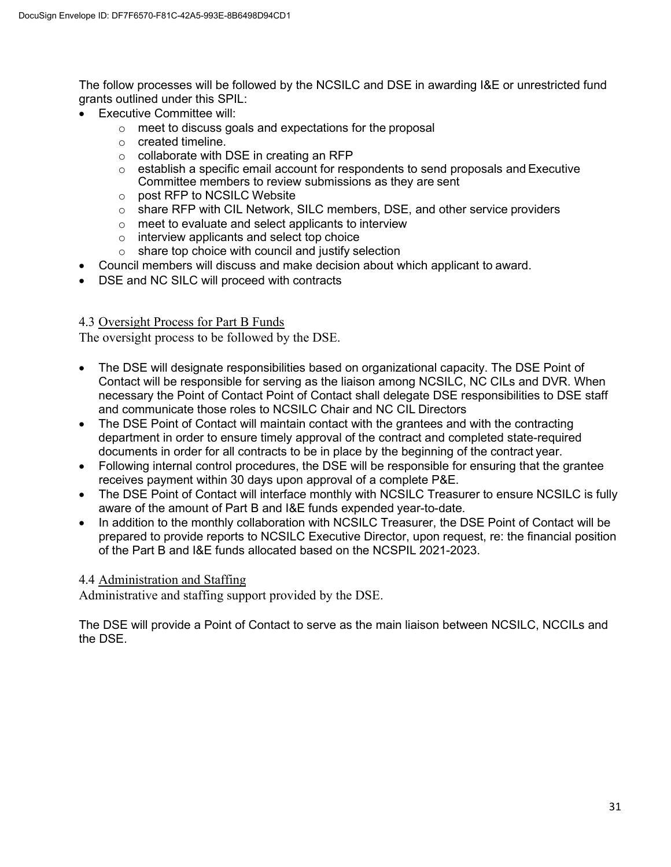The follow processes will be followed by the NCSILC and DSE in awarding I&E or unrestricted fund grants outlined under this SPIL:

- Executive Committee will:
	- o meet to discuss goals and expectations for the proposal
	- o created timeline.
	- $\circ$  collaborate with DSE in creating an RFP
	- $\circ$  establish a specific email account for respondents to send proposals and Executive Committee members to review submissions as they are sent
	- o post RFP to NCSILC Website
	- o share RFP with CIL Network, SILC members, DSE, and other service providers
	- o meet to evaluate and select applicants to interview
	- o interview applicants and select top choice
	- $\circ$  share top choice with council and justify selection
- Council members will discuss and make decision about which applicant to award.
- DSE and NC SILC will proceed with contracts

## 4.3 Oversight Process for Part B Funds

The oversight process to be followed by the DSE.

- The DSE will designate responsibilities based on organizational capacity. The DSE Point of Contact will be responsible for serving as the liaison among NCSILC, NC CILs and DVR. When necessary the Point of Contact Point of Contact shall delegate DSE responsibilities to DSE staff and communicate those roles to NCSILC Chair and NC CIL Directors
- The DSE Point of Contact will maintain contact with the grantees and with the contracting department in order to ensure timely approval of the contract and completed state-required documents in order for all contracts to be in place by the beginning of the contract year.
- Following internal control procedures, the DSE will be responsible for ensuring that the grantee receives payment within 30 days upon approval of a complete P&E.
- The DSE Point of Contact will interface monthly with NCSILC Treasurer to ensure NCSILC is fully aware of the amount of Part B and I&E funds expended year-to-date.
- In addition to the monthly collaboration with NCSILC Treasurer, the DSE Point of Contact will be prepared to provide reports to NCSILC Executive Director, upon request, re: the financial position of the Part B and I&E funds allocated based on the NCSPIL 2021-2023.

## 4.4 Administration and Staffing

Administrative and staffing support provided by the DSE.

The DSE will provide a Point of Contact to serve as the main liaison between NCSILC, NCCILs and the DSE.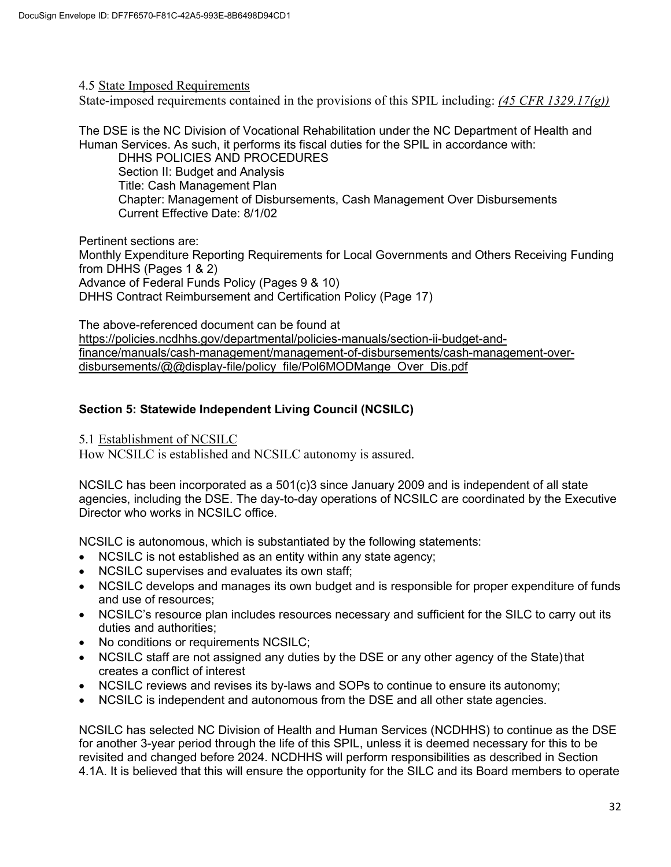#### 4.5 State Imposed Requirements

State-imposed requirements contained in the provisions of this SPIL including: *(45 CFR 1329.17(g))*

The DSE is the NC Division of Vocational Rehabilitation under the NC Department of Health and Human Services. As such, it performs its fiscal duties for the SPIL in accordance with: DHHS POLICIES AND PROCEDURES

Section II: Budget and Analysis Title: Cash Management Plan Chapter: Management of Disbursements, Cash Management Over Disbursements Current Effective Date: 8/1/02

Pertinent sections are: Monthly Expenditure Reporting Requirements for Local Governments and Others Receiving Funding from DHHS (Pages 1 & 2) Advance of Federal Funds Policy (Pages 9 & 10) DHHS Contract Reimbursement and Certification Policy (Page 17)

The above-referenced document can be found at [https://policies.ncdhhs.gov/departmental/policies-manuals/section-ii-budget-and](https://policies.ncdhhs.gov/departmental/policies-manuals/section-ii-budget-and-finance/manuals/cash-management/management-of-disbursements/cash-management-over-disbursements/%40%40display-file/policy_file/Pol6MODMange_Over_Dis.pdf)[finance/manuals/cash-management/management-of-disbursements/cash-management-over](https://policies.ncdhhs.gov/departmental/policies-manuals/section-ii-budget-and-finance/manuals/cash-management/management-of-disbursements/cash-management-over-disbursements/%40%40display-file/policy_file/Pol6MODMange_Over_Dis.pdf)[disbursements/@@display-file/policy\\_file/Pol6MODMange\\_Over\\_Dis.pdf](https://policies.ncdhhs.gov/departmental/policies-manuals/section-ii-budget-and-finance/manuals/cash-management/management-of-disbursements/cash-management-over-disbursements/%40%40display-file/policy_file/Pol6MODMange_Over_Dis.pdf)

## **Section 5: Statewide Independent Living Council (NCSILC)**

5.1 Establishment of NCSILC

How NCSILC is established and NCSILC autonomy is assured.

NCSILC has been incorporated as a 501(c)3 since January 2009 and is independent of all state agencies, including the DSE. The day-to-day operations of NCSILC are coordinated by the Executive Director who works in NCSILC office.

NCSILC is autonomous, which is substantiated by the following statements:

- NCSILC is not established as an entity within any state agency;
- NCSILC supervises and evaluates its own staff;
- NCSILC develops and manages its own budget and is responsible for proper expenditure of funds and use of resources;
- NCSILC's resource plan includes resources necessary and sufficient for the SILC to carry out its duties and authorities;
- No conditions or requirements NCSILC;
- NCSILC staff are not assigned any duties by the DSE or any other agency of the State) that creates a conflict of interest
- NCSILC reviews and revises its by-laws and SOPs to continue to ensure its autonomy;
- NCSILC is independent and autonomous from the DSE and all other state agencies.

NCSILC has selected NC Division of Health and Human Services (NCDHHS) to continue as the DSE for another 3-year period through the life of this SPIL, unless it is deemed necessary for this to be revisited and changed before 2024. NCDHHS will perform responsibilities as described in Section 4.1A. It is believed that this will ensure the opportunity for the SILC and its Board members to operate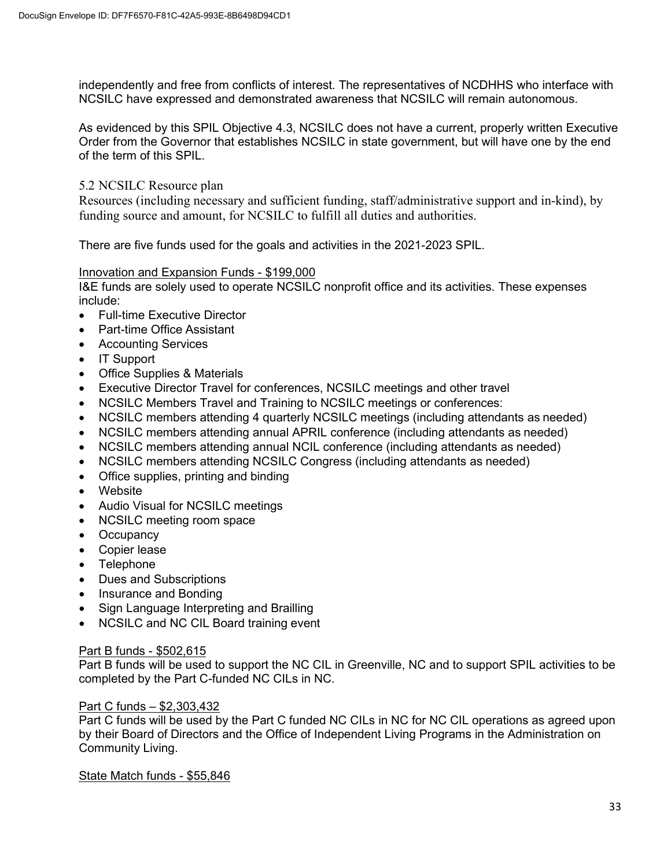independently and free from conflicts of interest. The representatives of NCDHHS who interface with NCSILC have expressed and demonstrated awareness that NCSILC will remain autonomous.

As evidenced by this SPIL Objective 4.3, NCSILC does not have a current, properly written Executive Order from the Governor that establishes NCSILC in state government, but will have one by the end of the term of this SPIL.

## 5.2 NCSILC Resource plan

Resources (including necessary and sufficient funding, staff/administrative support and in-kind), by funding source and amount, for NCSILC to fulfill all duties and authorities.

There are five funds used for the goals and activities in the 2021-2023 SPIL.

## Innovation and Expansion Funds - \$199,000

I&E funds are solely used to operate NCSILC nonprofit office and its activities. These expenses include:

- Full-time Executive Director
- Part-time Office Assistant
- Accounting Services
- IT Support
- Office Supplies & Materials
- Executive Director Travel for conferences, NCSILC meetings and other travel
- NCSILC Members Travel and Training to NCSILC meetings or conferences:
- NCSILC members attending 4 quarterly NCSILC meetings (including attendants as needed)
- NCSILC members attending annual APRIL conference (including attendants as needed)
- NCSILC members attending annual NCIL conference (including attendants as needed)
- NCSILC members attending NCSILC Congress (including attendants as needed)
- Office supplies, printing and binding
- Website
- Audio Visual for NCSILC meetings
- NCSILC meeting room space
- Occupancy
- Copier lease
- Telephone
- Dues and Subscriptions
- Insurance and Bonding
- Sign Language Interpreting and Brailling
- NCSILC and NC CIL Board training event

## Part B funds - \$502,615

Part B funds will be used to support the NC CIL in Greenville, NC and to support SPIL activities to be completed by the Part C-funded NC CILs in NC.

## Part C funds – \$2,303,432

Part C funds will be used by the Part C funded NC CILs in NC for NC CIL operations as agreed upon by their Board of Directors and the Office of Independent Living Programs in the Administration on Community Living.

State Match funds - \$55,846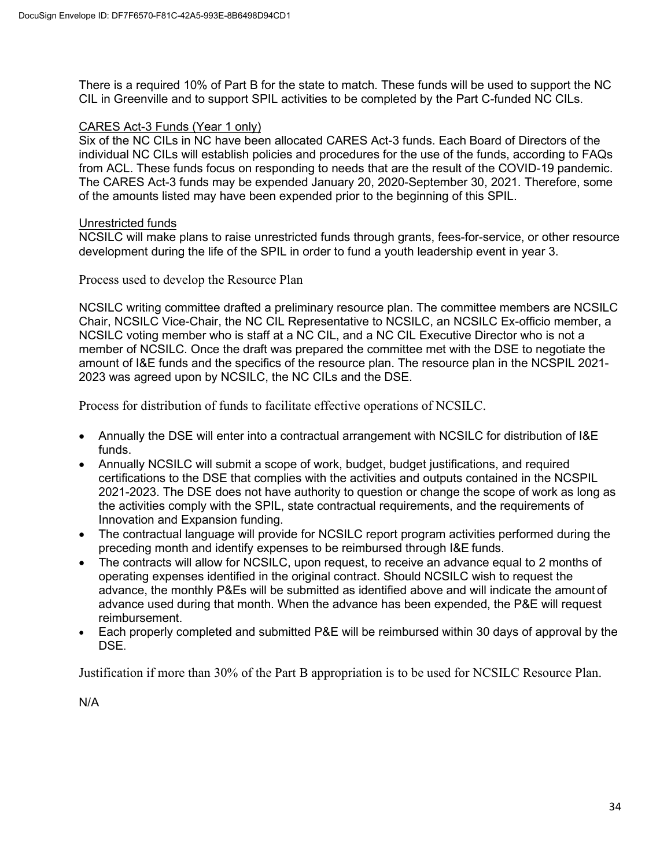There is a required 10% of Part B for the state to match. These funds will be used to support the NC CIL in Greenville and to support SPIL activities to be completed by the Part C-funded NC CILs.

## CARES Act-3 Funds (Year 1 only)

Six of the NC CILs in NC have been allocated CARES Act-3 funds. Each Board of Directors of the individual NC CILs will establish policies and procedures for the use of the funds, according to FAQs from ACL. These funds focus on responding to needs that are the result of the COVID-19 pandemic. The CARES Act-3 funds may be expended January 20, 2020-September 30, 2021. Therefore, some of the amounts listed may have been expended prior to the beginning of this SPIL.

## Unrestricted funds

NCSILC will make plans to raise unrestricted funds through grants, fees-for-service, or other resource development during the life of the SPIL in order to fund a youth leadership event in year 3.

Process used to develop the Resource Plan

NCSILC writing committee drafted a preliminary resource plan. The committee members are NCSILC Chair, NCSILC Vice-Chair, the NC CIL Representative to NCSILC, an NCSILC Ex-officio member, a NCSILC voting member who is staff at a NC CIL, and a NC CIL Executive Director who is not a member of NCSILC. Once the draft was prepared the committee met with the DSE to negotiate the amount of I&E funds and the specifics of the resource plan. The resource plan in the NCSPIL 2021- 2023 was agreed upon by NCSILC, the NC CILs and the DSE.

Process for distribution of funds to facilitate effective operations of NCSILC.

- Annually the DSE will enter into a contractual arrangement with NCSILC for distribution of I&E funds.
- Annually NCSILC will submit a scope of work, budget, budget justifications, and required certifications to the DSE that complies with the activities and outputs contained in the NCSPIL 2021-2023. The DSE does not have authority to question or change the scope of work as long as the activities comply with the SPIL, state contractual requirements, and the requirements of Innovation and Expansion funding.
- The contractual language will provide for NCSILC report program activities performed during the preceding month and identify expenses to be reimbursed through I&E funds.
- The contracts will allow for NCSILC, upon request, to receive an advance equal to 2 months of operating expenses identified in the original contract. Should NCSILC wish to request the advance, the monthly P&Es will be submitted as identified above and will indicate the amount of advance used during that month. When the advance has been expended, the P&E will request reimbursement.
- Each properly completed and submitted P&E will be reimbursed within 30 days of approval by the DSE.

Justification if more than 30% of the Part B appropriation is to be used for NCSILC Resource Plan.

N/A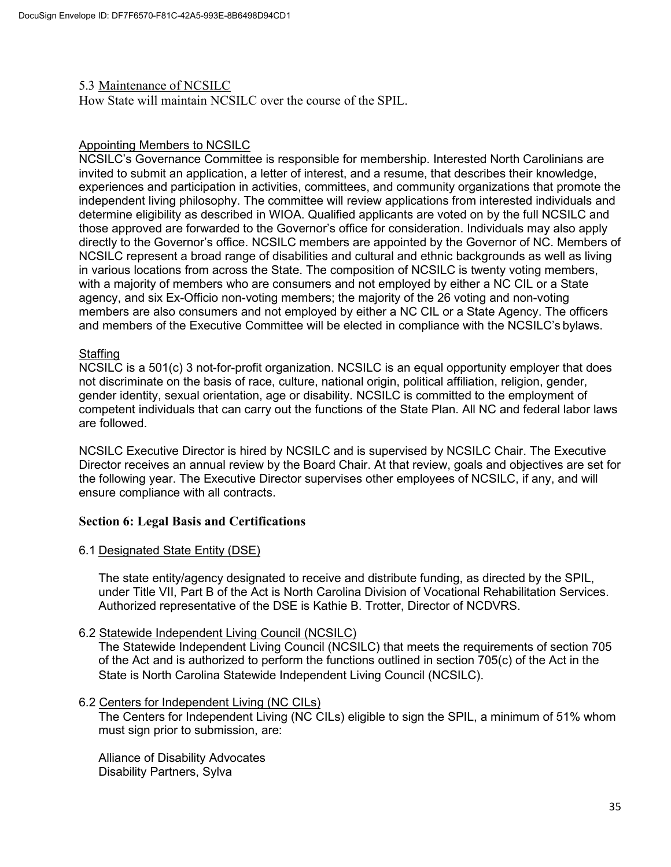#### 5.3 Maintenance of NCSILC

How State will maintain NCSILC over the course of the SPIL.

## Appointing Members to NCSILC

NCSILC's Governance Committee is responsible for membership. Interested North Carolinians are invited to submit an application, a letter of interest, and a resume, that describes their knowledge, experiences and participation in activities, committees, and community organizations that promote the independent living philosophy. The committee will review applications from interested individuals and determine eligibility as described in WIOA. Qualified applicants are voted on by the full NCSILC and those approved are forwarded to the Governor's office for consideration. Individuals may also apply directly to the Governor's office. NCSILC members are appointed by the Governor of NC. Members of NCSILC represent a broad range of disabilities and cultural and ethnic backgrounds as well as living in various locations from across the State. The composition of NCSILC is twenty voting members, with a majority of members who are consumers and not employed by either a NC CIL or a State agency, and six Ex-Officio non-voting members; the majority of the 26 voting and non-voting members are also consumers and not employed by either a NC CIL or a State Agency. The officers and members of the Executive Committee will be elected in compliance with the NCSILC's bylaws.

## **Staffing**

NCSILC is a 501(c) 3 not-for-profit organization. NCSILC is an equal opportunity employer that does not discriminate on the basis of race, culture, national origin, political affiliation, religion, gender, gender identity, sexual orientation, age or disability. NCSILC is committed to the employment of competent individuals that can carry out the functions of the State Plan. All NC and federal labor laws are followed.

NCSILC Executive Director is hired by NCSILC and is supervised by NCSILC Chair. The Executive Director receives an annual review by the Board Chair. At that review, goals and objectives are set for the following year. The Executive Director supervises other employees of NCSILC, if any, and will ensure compliance with all contracts.

## **Section 6: Legal Basis and Certifications**

## 6.1 Designated State Entity (DSE)

The state entity/agency designated to receive and distribute funding, as directed by the SPIL, under Title VII, Part B of the Act is North Carolina Division of Vocational Rehabilitation Services. Authorized representative of the DSE is Kathie B. Trotter, Director of NCDVRS.

6.2 Statewide Independent Living Council (NCSILC)

The Statewide Independent Living Council (NCSILC) that meets the requirements of section 705 of the Act and is authorized to perform the functions outlined in section 705(c) of the Act in the State is North Carolina Statewide Independent Living Council (NCSILC).

## 6.2 Centers for Independent Living (NC CILs)

The Centers for Independent Living (NC CILs) eligible to sign the SPIL, a minimum of 51% whom must sign prior to submission, are:

Alliance of Disability Advocates Disability Partners, Sylva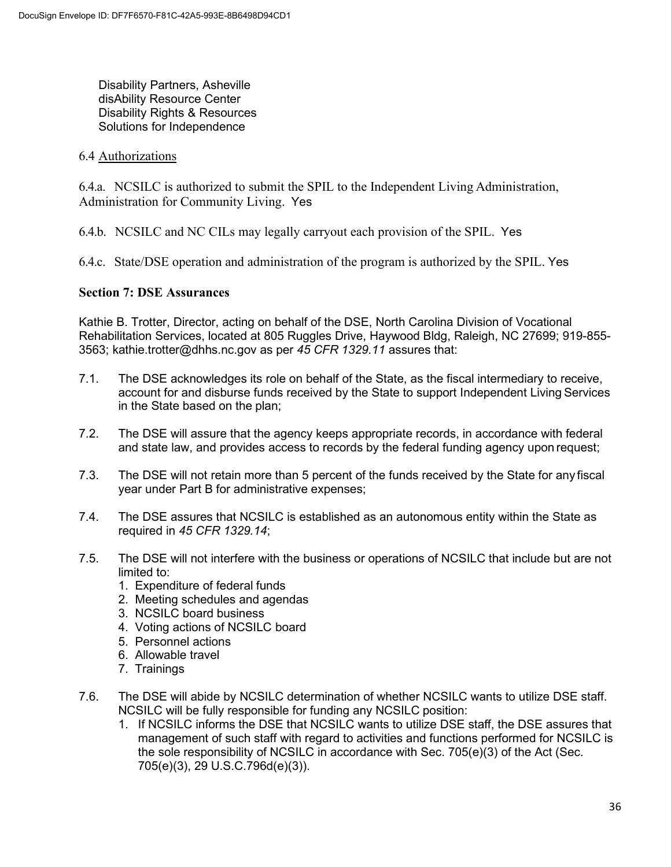Disability Partners, Asheville disAbility Resource Center Disability Rights & Resources Solutions for Independence

#### 6.4 Authorizations

6.4.a. NCSILC is authorized to submit the SPIL to the Independent Living Administration, Administration for Community Living. Yes

6.4.b. NCSILC and NC CILs may legally carryout each provision of the SPIL. Yes

6.4.c. State/DSE operation and administration of the program is authorized by the SPIL. Yes

## **Section 7: DSE Assurances**

Kathie B. Trotter, Director, acting on behalf of the DSE, North Carolina Division of Vocational Rehabilitation Services, located at 805 Ruggles Drive, Haywood Bldg, Raleigh, NC 27699; 919-855- 3563; [kathie.trotter@dhhs.nc.gov a](mailto:kathie.trotter@dhhs.nc.gov)s per *45 CFR 1329.11* assures that:

- 7.1. The DSE acknowledges its role on behalf of the State, as the fiscal intermediary to receive, account for and disburse funds received by the State to support Independent Living Services in the State based on the plan;
- 7.2. The DSE will assure that the agency keeps appropriate records, in accordance with federal and state law, and provides access to records by the federal funding agency upon request;
- 7.3. The DSE will not retain more than 5 percent of the funds received by the State for any fiscal year under Part B for administrative expenses;
- 7.4. The DSE assures that NCSILC is established as an autonomous entity within the State as required in *45 CFR 1329.14*;
- 7.5. The DSE will not interfere with the business or operations of NCSILC that include but are not limited to:
	- 1. Expenditure of federal funds
	- 2. Meeting schedules and agendas
	- 3. NCSILC board business
	- 4. Voting actions of NCSILC board
	- 5. Personnel actions
	- 6. Allowable travel
	- 7. Trainings
- 7.6. The DSE will abide by NCSILC determination of whether NCSILC wants to utilize DSE staff. NCSILC will be fully responsible for funding any NCSILC position:
	- 1. If NCSILC informs the DSE that NCSILC wants to utilize DSE staff, the DSE assures that management of such staff with regard to activities and functions performed for NCSILC is the sole responsibility of NCSILC in accordance with Sec. 705(e)(3) of the Act (Sec. 705(e)(3), 29 U.S.C.796d(e)(3)).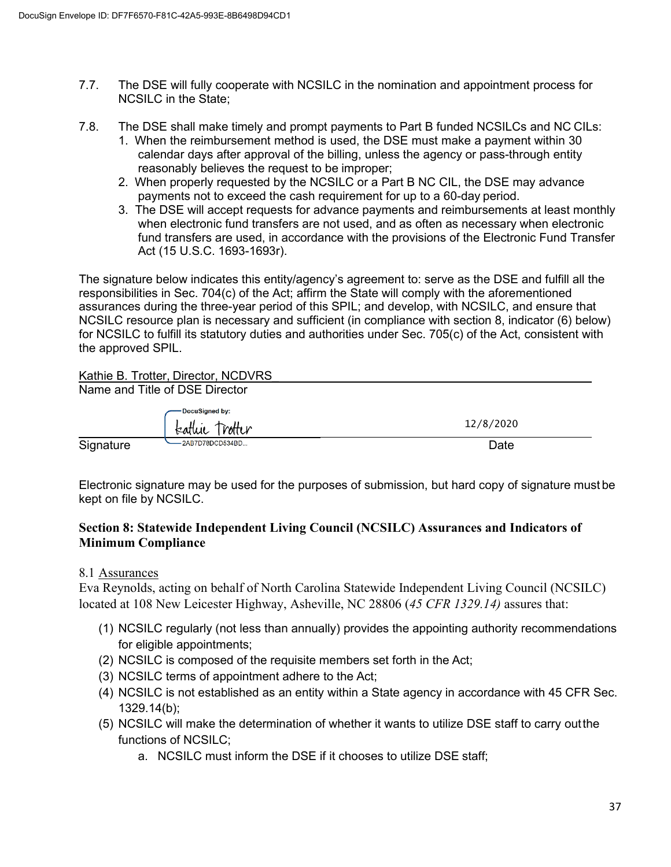- 7.7. The DSE will fully cooperate with NCSILC in the nomination and appointment process for NCSILC in the State;
- 7.8. The DSE shall make timely and prompt payments to Part B funded NCSILCs and NC CILs:
	- 1. When the reimbursement method is used, the DSE must make a payment within 30 calendar days after approval of the billing, unless the agency or pass-through entity reasonably believes the request to be improper;
	- 2. When properly requested by the NCSILC or a Part B NC CIL, the DSE may advance payments not to exceed the cash requirement for up to a 60-day period.
	- 3. The DSE will accept requests for advance payments and reimbursements at least monthly when electronic fund transfers are not used, and as often as necessary when electronic fund transfers are used, in accordance with the provisions of the Electronic Fund Transfer Act (15 U.S.C. 1693-1693r).

The signature below indicates this entity/agency's agreement to: serve as the DSE and fulfill all the responsibilities in Sec. 704(c) of the Act; affirm the State will comply with the aforementioned assurances during the three-year period of this SPIL; and develop, with NCSILC, and ensure that NCSILC resource plan is necessary and sufficient (in compliance with section 8, indicator (6) below) for NCSILC to fulfill its statutory duties and authorities under Sec. 705(c) of the Act, consistent with the approved SPIL.

## Kathie B. Trotter, Director, NCDVRS

|           | Name and Title of DSE Director |           |
|-----------|--------------------------------|-----------|
|           | DocuSigned by:                 |           |
|           | katlue Trotter                 | 12/8/2020 |
| Signature | -2AB7D78DCD534BD               | Date      |

Electronic signature may be used for the purposes of submission, but hard copy of signature must be kept on file by NCSILC.

## **Section 8: Statewide Independent Living Council (NCSILC) Assurances and Indicators of Minimum Compliance**

## 8.1 Assurances

Eva Reynolds, acting on behalf of North Carolina Statewide Independent Living Council (NCSILC) located at 108 New Leicester Highway, Asheville, NC 28806 (*45 CFR 1329.14)* assures that:

- (1) NCSILC regularly (not less than annually) provides the appointing authority recommendations for eligible appointments;
- (2) NCSILC is composed of the requisite members set forth in the Act;
- (3) NCSILC terms of appointment adhere to the Act;
- (4) NCSILC is not established as an entity within a State agency in accordance with 45 CFR Sec. 1329.14(b);
- (5) NCSILC will make the determination of whether it wants to utilize DSE staff to carry outthe functions of NCSILC;
	- a. NCSILC must inform the DSE if it chooses to utilize DSE staff;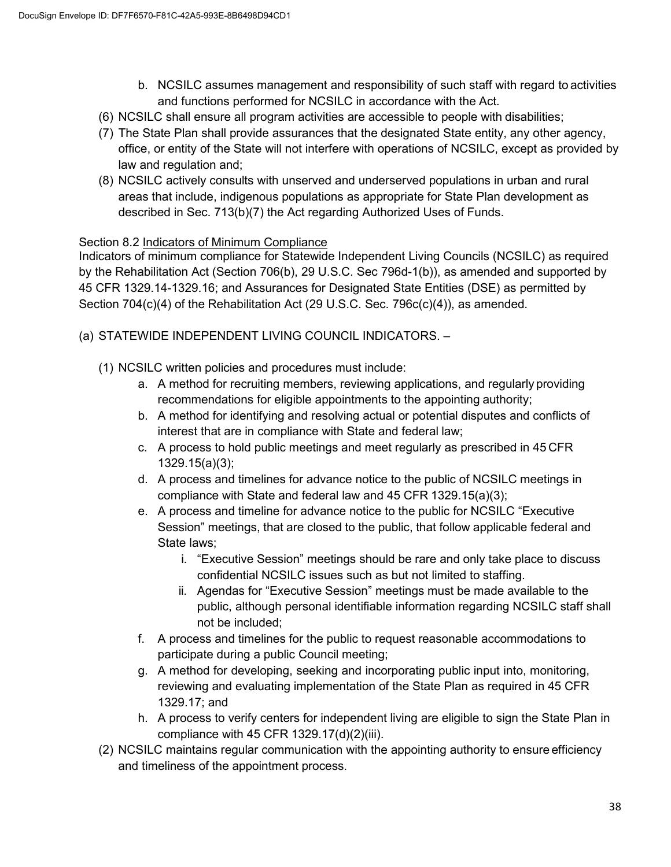- b. NCSILC assumes management and responsibility of such staff with regard to activities and functions performed for NCSILC in accordance with the Act.
- (6) NCSILC shall ensure all program activities are accessible to people with disabilities;
- (7) The State Plan shall provide assurances that the designated State entity, any other agency, office, or entity of the State will not interfere with operations of NCSILC, except as provided by law and regulation and;
- (8) NCSILC actively consults with unserved and underserved populations in urban and rural areas that include, indigenous populations as appropriate for State Plan development as described in Sec. 713(b)(7) the Act regarding Authorized Uses of Funds.

## Section 8.2 Indicators of Minimum Compliance

Indicators of minimum compliance for Statewide Independent Living Councils (NCSILC) as required by the Rehabilitation Act (Section 706(b), 29 U.S.C. Sec 796d-1(b)), as amended and supported by 45 CFR 1329.14-1329.16; and Assurances for Designated State Entities (DSE) as permitted by Section 704(c)(4) of the Rehabilitation Act (29 U.S.C. Sec. 796c(c)(4)), as amended.

(a) STATEWIDE INDEPENDENT LIVING COUNCIL INDICATORS. –

- (1) NCSILC written policies and procedures must include:
	- a. A method for recruiting members, reviewing applications, and regularly providing recommendations for eligible appointments to the appointing authority;
	- b. A method for identifying and resolving actual or potential disputes and conflicts of interest that are in compliance with State and federal law;
	- c. A process to hold public meetings and meet regularly as prescribed in 45 CFR 1329.15(a)(3);
	- d. A process and timelines for advance notice to the public of NCSILC meetings in compliance with State and federal law and 45 CFR 1329.15(a)(3);
	- e. A process and timeline for advance notice to the public for NCSILC "Executive Session" meetings, that are closed to the public, that follow applicable federal and State laws;
		- i. "Executive Session" meetings should be rare and only take place to discuss confidential NCSILC issues such as but not limited to staffing.
		- ii. Agendas for "Executive Session" meetings must be made available to the public, although personal identifiable information regarding NCSILC staff shall not be included;
	- f. A process and timelines for the public to request reasonable accommodations to participate during a public Council meeting;
	- g. A method for developing, seeking and incorporating public input into, monitoring, reviewing and evaluating implementation of the State Plan as required in 45 CFR 1329.17; and
	- h. A process to verify centers for independent living are eligible to sign the State Plan in compliance with 45 CFR 1329.17(d)(2)(iii).
- (2) NCSILC maintains regular communication with the appointing authority to ensure efficiency and timeliness of the appointment process.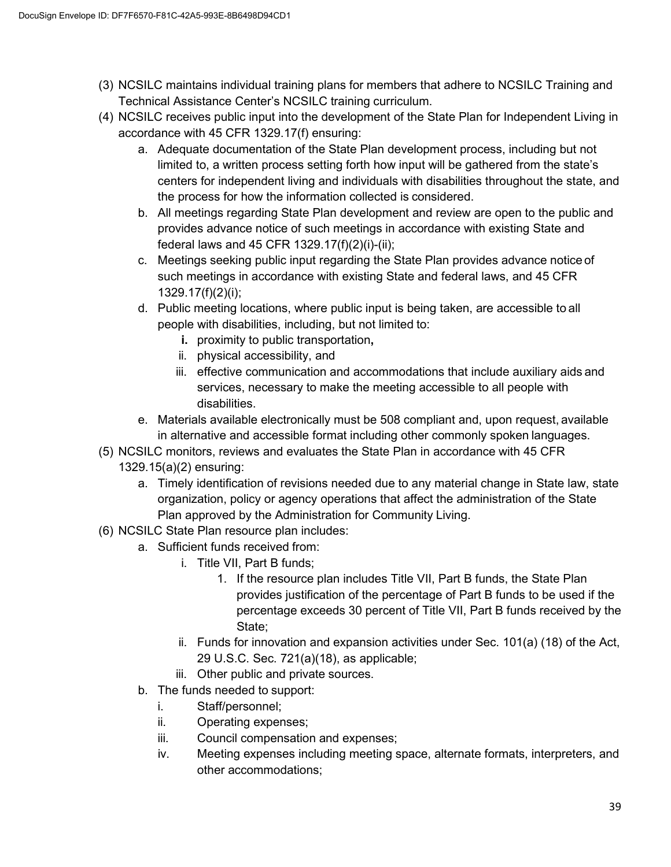- (3) NCSILC maintains individual training plans for members that adhere to NCSILC Training and Technical Assistance Center's NCSILC training curriculum.
- (4) NCSILC receives public input into the development of the State Plan for Independent Living in accordance with 45 CFR 1329.17(f) ensuring:
	- a. Adequate documentation of the State Plan development process, including but not limited to, a written process setting forth how input will be gathered from the state's centers for independent living and individuals with disabilities throughout the state, and the process for how the information collected is considered.
	- b. All meetings regarding State Plan development and review are open to the public and provides advance notice of such meetings in accordance with existing State and federal laws and 45 CFR 1329.17(f)(2)(i)-(ii);
	- c. Meetings seeking public input regarding the State Plan provides advance notice of such meetings in accordance with existing State and federal laws, and 45 CFR 1329.17(f)(2)(i);
	- d. Public meeting locations, where public input is being taken, are accessible to all people with disabilities, including, but not limited to:
		- **i.** proximity to public transportation**,**
		- ii. physical accessibility, and
		- iii. effective communication and accommodations that include auxiliary aids and services, necessary to make the meeting accessible to all people with disabilities.
	- e. Materials available electronically must be 508 compliant and, upon request, available in alternative and accessible format including other commonly spoken languages.
- (5) NCSILC monitors, reviews and evaluates the State Plan in accordance with 45 CFR
	- 1329.15(a)(2) ensuring:
		- a. Timely identification of revisions needed due to any material change in State law, state organization, policy or agency operations that affect the administration of the State Plan approved by the Administration for Community Living.
- (6) NCSILC State Plan resource plan includes:
	- a. Sufficient funds received from:
		- i. Title VII, Part B funds;
			- 1. If the resource plan includes Title VII, Part B funds, the State Plan provides justification of the percentage of Part B funds to be used if the percentage exceeds 30 percent of Title VII, Part B funds received by the State;
		- ii. Funds for innovation and expansion activities under Sec. 101(a) (18) of the Act, 29 U.S.C. Sec. 721(a)(18), as applicable;
		- iii. Other public and private sources.
	- b. The funds needed to support:
		- i. Staff/personnel;
		- ii. Operating expenses;
		- iii. Council compensation and expenses;
		- iv. Meeting expenses including meeting space, alternate formats, interpreters, and other accommodations;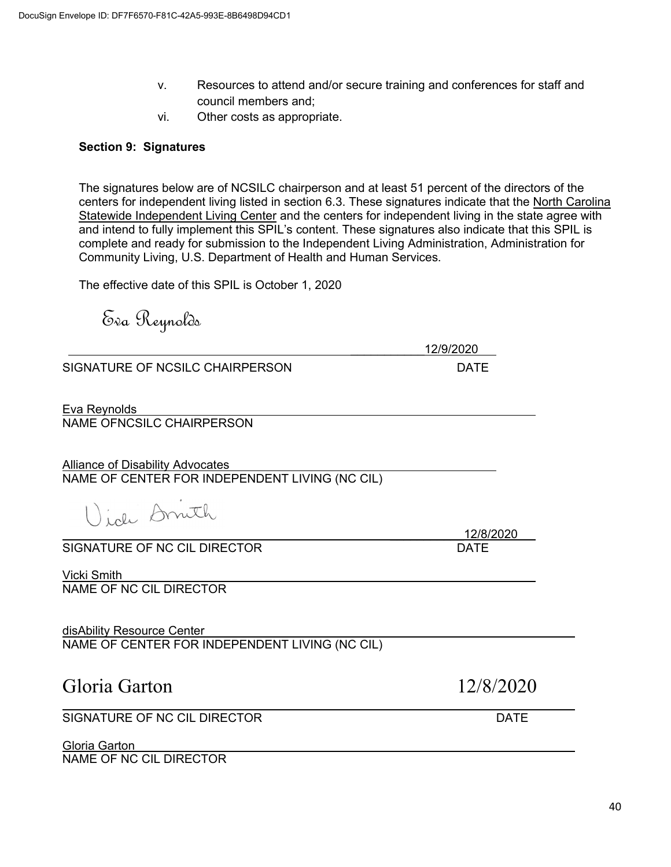- v. Resources to attend and/or secure training and conferences for staff and council members and;
- vi. Other costs as appropriate.

## **Section 9: Signatures**

The signatures below are of NCSILC chairperson and at least 51 percent of the directors of the centers for independent living listed in section 6.3. These signatures indicate that the North Carolina Statewide Independent Living Center and the centers for independent living in the state agree with and intend to fully implement this SPIL's content. These signatures also indicate that this SPIL is complete and ready for submission to the Independent Living Administration, Administration for Community Living, U.S. Department of Health and Human Services.

The effective date of this SPIL is October 1, 2020

Eva Reynolds

\_\_\_\_\_\_\_\_\_\_\_12/9/2020

\_\_\_\_\_\_\_\_\_\_\_12/8/2020

SIGNATURE OF NCSILC CHAIRPERSON DATE

Eva Reynolds

NAME OFNCSILC CHAIRPERSON

Alliance of Disability Advocates NAME OF CENTER FOR INDEPENDENT LIVING (NC CIL)

lich Druth

SIGNATURE OF NC CIL DIRECTOR

Vicki Smith NAME OF NC CIL DIRECTOR

disAbility Resource Center NAME OF CENTER FOR INDEPENDENT LIVING (NC CIL)

## Gloria Garton 12/8/2020

 $\overline{a}$ SIGNATURE OF NC CIL DIRECTOR **Example 20 SIGNATURE OF NC** 

Gloria Garton

NAME OF NC CIL DIRECTOR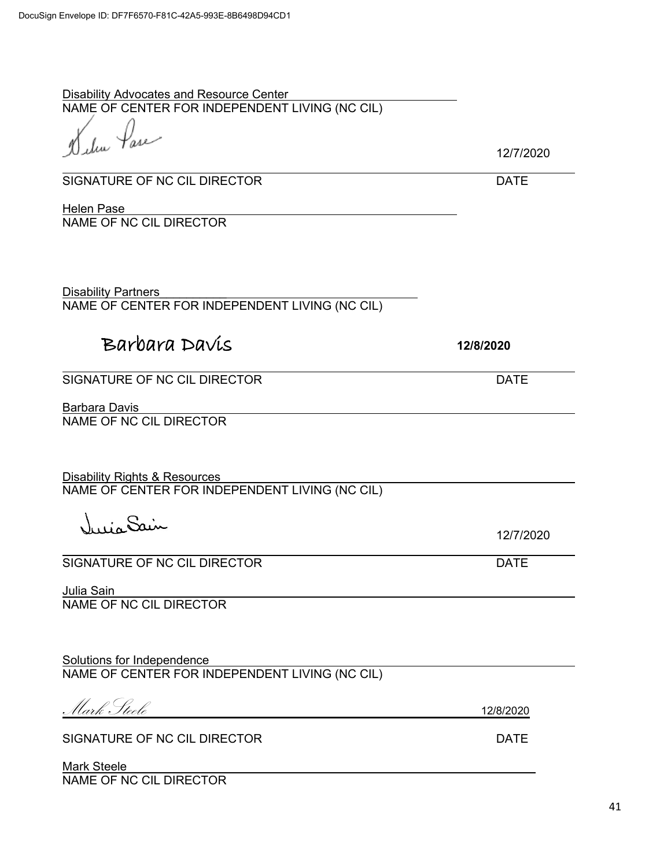Disability Advocates and Resource Center NAME OF CENTER FOR INDEPENDENT LIVING (NC CIL)

<sub>hu</sub> Pase

12/7/2020

SIGNATURE OF NC CIL DIRECTOR DATE

**Helen Pase** NAME OF NC CIL DIRECTOR

Disability Partners NAME OF CENTER FOR INDEPENDENT LIVING (NC CIL)

# Barbara Davis **12/8/2020**

SIGNATURE OF NC CIL DIRECTOR DATE

Barbara Davis NAME OF NC CIL DIRECTOR

Disability Rights & Resources NAME OF CENTER FOR INDEPENDENT LIVING (NC CIL)

Victor Sain

SIGNATURE OF NC CIL DIRECTOR DATE

Julia Sain NAME OF NC CIL DIRECTOR

Solutions for Independence NAME OF CENTER FOR INDEPENDENT LIVING (NC CIL)

Mark Steele 12/8/2020

SIGNATURE OF NC CIL DIRECTOR DATE

Mark Steele NAME OF NC CIL DIRECTOR

12/7/2020